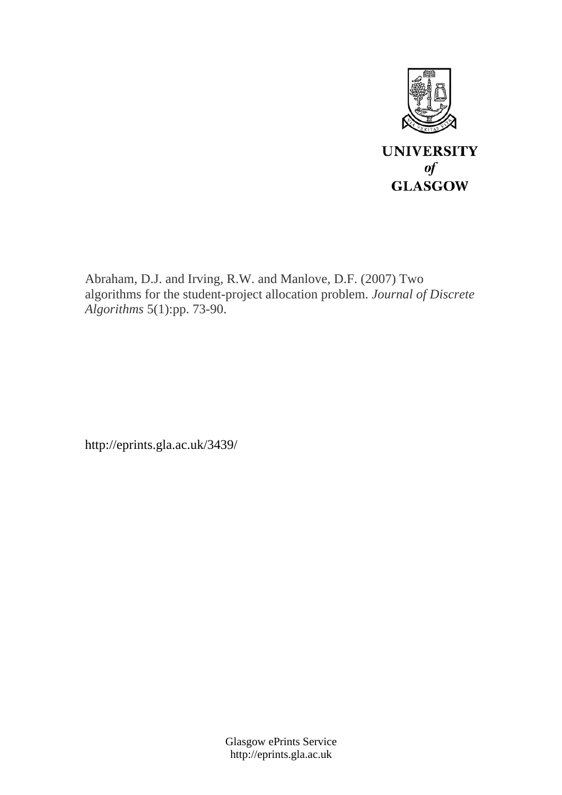

Abraham, D.J. and Irving, R.W. and Manlove, D.F. (2007) Two algorithms for the student-project allocation problem. *Journal of Discrete Algorithms* 5(1):pp. 73-90.

http://eprints.gla.ac.uk/3439/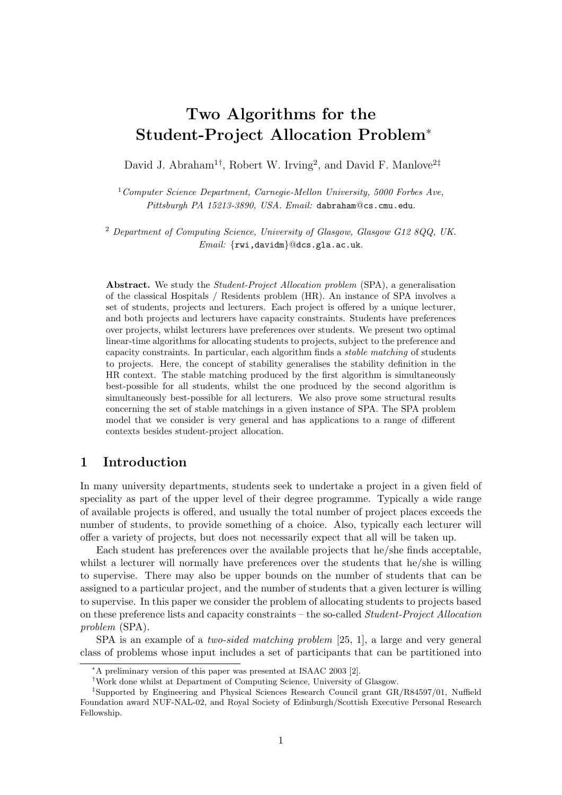# Two Algorithms for the Student-Project Allocation Problem<sup>∗</sup>

David J. Abraham<sup>1†</sup>, Robert W. Irving<sup>2</sup>, and David F. Manlove<sup>2‡</sup>

 $1$ Computer Science Department, Carnegie-Mellon University, 5000 Forbes Ave. Pittsburgh PA 15213-3890, USA. Email: dabraham@cs.cmu.edu.

<sup>2</sup> Department of Computing Science, University of Glasgow, Glasgow G12 8QQ, UK. Email: {rwi,davidm}@dcs.gla.ac.uk.

Abstract. We study the *Student-Project Allocation problem* (SPA), a generalisation of the classical Hospitals / Residents problem (HR). An instance of SPA involves a set of students, projects and lecturers. Each project is offered by a unique lecturer, and both projects and lecturers have capacity constraints. Students have preferences over projects, whilst lecturers have preferences over students. We present two optimal linear-time algorithms for allocating students to projects, subject to the preference and capacity constraints. In particular, each algorithm finds a stable matching of students to projects. Here, the concept of stability generalises the stability definition in the HR context. The stable matching produced by the first algorithm is simultaneously best-possible for all students, whilst the one produced by the second algorithm is simultaneously best-possible for all lecturers. We also prove some structural results concerning the set of stable matchings in a given instance of SPA. The SPA problem model that we consider is very general and has applications to a range of different contexts besides student-project allocation.

# 1 Introduction

In many university departments, students seek to undertake a project in a given field of speciality as part of the upper level of their degree programme. Typically a wide range of available projects is offered, and usually the total number of project places exceeds the number of students, to provide something of a choice. Also, typically each lecturer will offer a variety of projects, but does not necessarily expect that all will be taken up.

Each student has preferences over the available projects that he/she finds acceptable, whilst a lecturer will normally have preferences over the students that he/she is willing to supervise. There may also be upper bounds on the number of students that can be assigned to a particular project, and the number of students that a given lecturer is willing to supervise. In this paper we consider the problem of allocating students to projects based on these preference lists and capacity constraints – the so-called Student-Project Allocation problem (SPA).

SPA is an example of a two-sided matching problem [25, 1], a large and very general class of problems whose input includes a set of participants that can be partitioned into

<sup>∗</sup>A preliminary version of this paper was presented at ISAAC 2003 [2].

<sup>†</sup>Work done whilst at Department of Computing Science, University of Glasgow.

<sup>‡</sup>Supported by Engineering and Physical Sciences Research Council grant GR/R84597/01, Nuffield Foundation award NUF-NAL-02, and Royal Society of Edinburgh/Scottish Executive Personal Research Fellowship.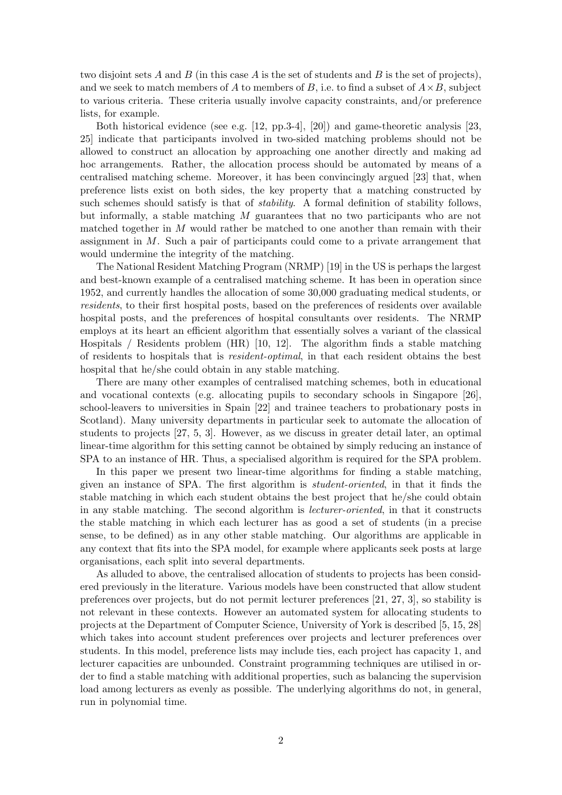two disjoint sets A and B (in this case A is the set of students and B is the set of projects), and we seek to match members of A to members of B, i.e. to find a subset of  $A \times B$ , subject to various criteria. These criteria usually involve capacity constraints, and/or preference lists, for example.

Both historical evidence (see e.g. [12, pp.3-4], [20]) and game-theoretic analysis [23, 25] indicate that participants involved in two-sided matching problems should not be allowed to construct an allocation by approaching one another directly and making ad hoc arrangements. Rather, the allocation process should be automated by means of a centralised matching scheme. Moreover, it has been convincingly argued [23] that, when preference lists exist on both sides, the key property that a matching constructed by such schemes should satisfy is that of *stability*. A formal definition of stability follows, but informally, a stable matching M guarantees that no two participants who are not matched together in M would rather be matched to one another than remain with their assignment in M. Such a pair of participants could come to a private arrangement that would undermine the integrity of the matching.

The National Resident Matching Program (NRMP) [19] in the US is perhaps the largest and best-known example of a centralised matching scheme. It has been in operation since 1952, and currently handles the allocation of some 30,000 graduating medical students, or residents, to their first hospital posts, based on the preferences of residents over available hospital posts, and the preferences of hospital consultants over residents. The NRMP employs at its heart an efficient algorithm that essentially solves a variant of the classical Hospitals / Residents problem (HR) [10, 12]. The algorithm finds a stable matching of residents to hospitals that is resident-optimal, in that each resident obtains the best hospital that he/she could obtain in any stable matching.

There are many other examples of centralised matching schemes, both in educational and vocational contexts (e.g. allocating pupils to secondary schools in Singapore [26], school-leavers to universities in Spain [22] and trainee teachers to probationary posts in Scotland). Many university departments in particular seek to automate the allocation of students to projects [27, 5, 3]. However, as we discuss in greater detail later, an optimal linear-time algorithm for this setting cannot be obtained by simply reducing an instance of SPA to an instance of HR. Thus, a specialised algorithm is required for the SPA problem.

In this paper we present two linear-time algorithms for finding a stable matching, given an instance of SPA. The first algorithm is student-oriented, in that it finds the stable matching in which each student obtains the best project that he/she could obtain in any stable matching. The second algorithm is lecturer-oriented, in that it constructs the stable matching in which each lecturer has as good a set of students (in a precise sense, to be defined) as in any other stable matching. Our algorithms are applicable in any context that fits into the SPA model, for example where applicants seek posts at large organisations, each split into several departments.

As alluded to above, the centralised allocation of students to projects has been considered previously in the literature. Various models have been constructed that allow student preferences over projects, but do not permit lecturer preferences [21, 27, 3], so stability is not relevant in these contexts. However an automated system for allocating students to projects at the Department of Computer Science, University of York is described [5, 15, 28] which takes into account student preferences over projects and lecturer preferences over students. In this model, preference lists may include ties, each project has capacity 1, and lecturer capacities are unbounded. Constraint programming techniques are utilised in order to find a stable matching with additional properties, such as balancing the supervision load among lecturers as evenly as possible. The underlying algorithms do not, in general, run in polynomial time.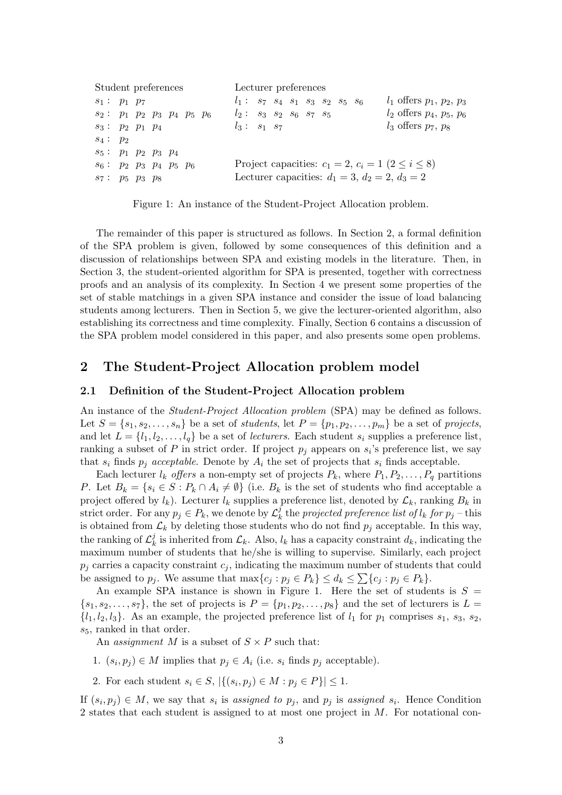| Student preferences                                                                      |  |  |  | Lecturer preferences |  |                                                                                    |  |  |  |  |  |  |                                                                                                                      |
|------------------------------------------------------------------------------------------|--|--|--|----------------------|--|------------------------------------------------------------------------------------|--|--|--|--|--|--|----------------------------------------------------------------------------------------------------------------------|
| $s_1: p_1 p_7$<br>$s_2: p_1 p_2 p_3 p_4 p_5 p_6$<br>$s_3: p_2 p_1 p_4$                   |  |  |  |                      |  | $l_1: s_7 s_4 s_1 s_3 s_2 s_5 s_6$<br>$l_2: s_3 s_2 s_6 s_7 s_5$<br>$l_3: s_1 s_7$ |  |  |  |  |  |  | $l_1$ offers $p_1, p_2, p_3$<br>$l_2$ offers $p_4, p_5, p_6$<br>$l_3$ offers $p_7, p_8$                              |
| $s_4: p_2$<br>$s_5: p_1 p_2 p_3 p_4$<br>$s_6: p_2 p_3 p_4 p_5 p_6$<br>$s_7: p_5 p_3 p_8$ |  |  |  |                      |  |                                                                                    |  |  |  |  |  |  | Project capacities: $c_1 = 2, c_i = 1 \ (2 \leq i \leq 8)$<br>Lecturer capacities: $d_1 = 3$ , $d_2 = 2$ , $d_3 = 2$ |

Figure 1: An instance of the Student-Project Allocation problem.

The remainder of this paper is structured as follows. In Section 2, a formal definition of the SPA problem is given, followed by some consequences of this definition and a discussion of relationships between SPA and existing models in the literature. Then, in Section 3, the student-oriented algorithm for SPA is presented, together with correctness proofs and an analysis of its complexity. In Section 4 we present some properties of the set of stable matchings in a given SPA instance and consider the issue of load balancing students among lecturers. Then in Section 5, we give the lecturer-oriented algorithm, also establishing its correctness and time complexity. Finally, Section 6 contains a discussion of the SPA problem model considered in this paper, and also presents some open problems.

# 2 The Student-Project Allocation problem model

#### 2.1 Definition of the Student-Project Allocation problem

An instance of the *Student-Project Allocation problem* (SPA) may be defined as follows. Let  $S = \{s_1, s_2, \ldots, s_n\}$  be a set of students, let  $P = \{p_1, p_2, \ldots, p_m\}$  be a set of projects, and let  $L = \{l_1, l_2, \ldots, l_q\}$  be a set of *lecturers*. Each student  $s_i$  supplies a preference list, ranking a subset of P in strict order. If project  $p_j$  appears on  $s_i$ 's preference list, we say that  $s_i$  finds  $p_j$  acceptable. Denote by  $A_i$  the set of projects that  $s_i$  finds acceptable.

Each lecturer  $l_k$  offers a non-empty set of projects  $P_k$ , where  $P_1, P_2, \ldots, P_q$  partitions P. Let  $B_k = \{s_i \in S : P_k \cap A_i \neq \emptyset\}$  (i.e.  $B_k$  is the set of students who find acceptable a project offered by  $l_k$ ). Lecturer  $l_k$  supplies a preference list, denoted by  $\mathcal{L}_k$ , ranking  $B_k$  in strict order. For any  $p_j \in P_k$ , we denote by  $\mathcal{L}_k^j$  $\frac{d}{dx}$  the projected preference list of  $l_k$  for  $p_j$  – this is obtained from  $\mathcal{L}_k$  by deleting those students who do not find  $p_j$  acceptable. In this way, the ranking of  $\mathcal{L}^j_k$  $\mathcal{L}_k$  is inherited from  $\mathcal{L}_k$ . Also,  $l_k$  has a capacity constraint  $d_k$ , indicating the maximum number of students that he/she is willing to supervise. Similarly, each project  $p_i$  carries a capacity constraint  $c_i$ , indicating the maximum number of students that could be assigned to  $p_j$ . We assume that  $\max\{c_j : p_j \in P_k\} \le d_k \le \sum\{c_j : p_j \in P_k\}.$ 

An example SPA instance is shown in Figure 1. Here the set of students is  $S =$  $\{s_1, s_2, \ldots, s_7\}$ , the set of projects is  $P = \{p_1, p_2, \ldots, p_8\}$  and the set of lecturers is  $L =$  $\{l_1, l_2, l_3\}.$  As an example, the projected preference list of  $l_1$  for  $p_1$  comprises  $s_1, s_3, s_2,$  $s_5$ , ranked in that order.

An *assignment* M is a subset of  $S \times P$  such that:

- 1.  $(s_i, p_j) \in M$  implies that  $p_j \in A_i$  (i.e.  $s_i$  finds  $p_j$  acceptable).
- 2. For each student  $s_i \in S$ ,  $|\{(s_i, p_j) \in M : p_j \in P\}| \leq 1$ .

If  $(s_i, p_j) \in M$ , we say that  $s_i$  is assigned to  $p_j$ , and  $p_j$  is assigned  $s_i$ . Hence Condition 2 states that each student is assigned to at most one project in  $M$ . For notational con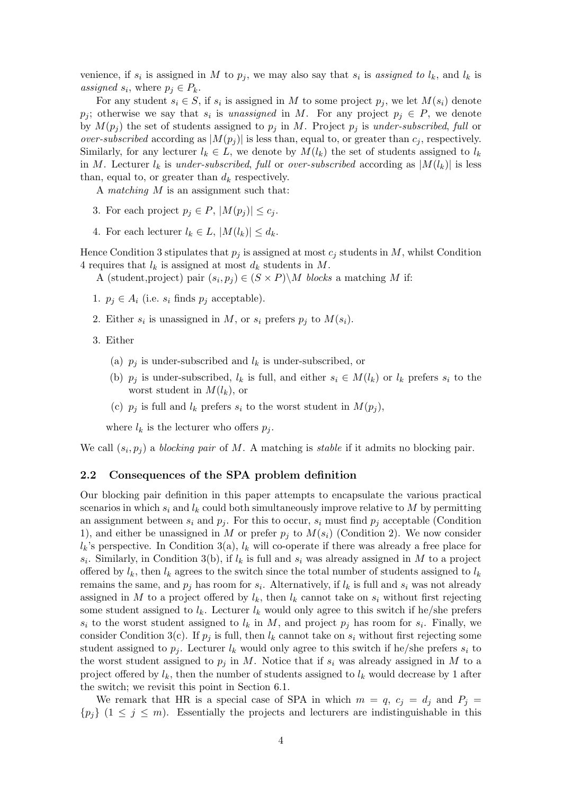venience, if  $s_i$  is assigned in M to  $p_j$ , we may also say that  $s_i$  is assigned to  $l_k$ , and  $l_k$  is assigned  $s_i$ , where  $p_j \in P_k$ .

For any student  $s_i \in S$ , if  $s_i$  is assigned in M to some project  $p_j$ , we let  $M(s_i)$  denote  $p_j$ ; otherwise we say that  $s_i$  is unassigned in M. For any project  $p_j \in P$ , we denote by  $M(p_j)$  the set of students assigned to  $p_j$  in M. Project  $p_j$  is under-subscribed, full or *over-subscribed* according as  $|M(p_i)|$  is less than, equal to, or greater than  $c_i$ , respectively. Similarly, for any lecturer  $l_k \in L$ , we denote by  $M(l_k)$  the set of students assigned to  $l_k$ in M. Lecturer  $l_k$  is under-subscribed, full or over-subscribed according as  $|M(l_k)|$  is less than, equal to, or greater than  $d_k$  respectively.

A matching M is an assignment such that:

- 3. For each project  $p_i \in P$ ,  $|M(p_i)| \leq c_i$ .
- 4. For each lecturer  $l_k \in L$ ,  $|M(l_k)| \leq d_k$ .

Hence Condition 3 stipulates that  $p_j$  is assigned at most  $c_j$  students in M, whilst Condition 4 requires that  $l_k$  is assigned at most  $d_k$  students in M.

A (student, project) pair  $(s_i, p_j) \in (S \times P) \backslash M$  blocks a matching M if:

- 1.  $p_i \in A_i$  (i.e.  $s_i$  finds  $p_i$  acceptable).
- 2. Either  $s_i$  is unassigned in M, or  $s_i$  prefers  $p_j$  to  $M(s_i)$ .
- 3. Either
	- (a)  $p_j$  is under-subscribed and  $l_k$  is under-subscribed, or
	- (b)  $p_j$  is under-subscribed,  $l_k$  is full, and either  $s_i \in M(l_k)$  or  $l_k$  prefers  $s_i$  to the worst student in  $M(l_k)$ , or
	- (c)  $p_i$  is full and  $l_k$  prefers  $s_i$  to the worst student in  $M(p_i)$ ,

where  $l_k$  is the lecturer who offers  $p_j$ .

We call  $(s_i, p_j)$  a blocking pair of M. A matching is stable if it admits no blocking pair.

#### 2.2 Consequences of the SPA problem definition

Our blocking pair definition in this paper attempts to encapsulate the various practical scenarios in which  $s_i$  and  $l_k$  could both simultaneously improve relative to M by permitting an assignment between  $s_i$  and  $p_j$ . For this to occur,  $s_i$  must find  $p_j$  acceptable (Condition 1), and either be unassigned in M or prefer  $p_i$  to  $M(s_i)$  (Condition 2). We now consider  $l_k$ 's perspective. In Condition 3(a),  $l_k$  will co-operate if there was already a free place for  $s_i$ . Similarly, in Condition 3(b), if  $l_k$  is full and  $s_i$  was already assigned in M to a project offered by  $l_k$ , then  $l_k$  agrees to the switch since the total number of students assigned to  $l_k$ remains the same, and  $p_j$  has room for  $s_i$ . Alternatively, if  $l_k$  is full and  $s_i$  was not already assigned in M to a project offered by  $l_k$ , then  $l_k$  cannot take on  $s_i$  without first rejecting some student assigned to  $l_k$ . Lecturer  $l_k$  would only agree to this switch if he/she prefers  $s_i$  to the worst student assigned to  $l_k$  in M, and project  $p_j$  has room for  $s_i$ . Finally, we consider Condition 3(c). If  $p_j$  is full, then  $l_k$  cannot take on  $s_i$  without first rejecting some student assigned to  $p_i$ . Lecturer  $l_k$  would only agree to this switch if he/she prefers  $s_i$  to the worst student assigned to  $p_j$  in M. Notice that if  $s_i$  was already assigned in M to a project offered by  $l_k$ , then the number of students assigned to  $l_k$  would decrease by 1 after the switch; we revisit this point in Section 6.1.

We remark that HR is a special case of SPA in which  $m = q$ ,  $c_i = d_i$  and  $P_i =$  ${p_i}$   $(1 \leq j \leq m)$ . Essentially the projects and lecturers are indistinguishable in this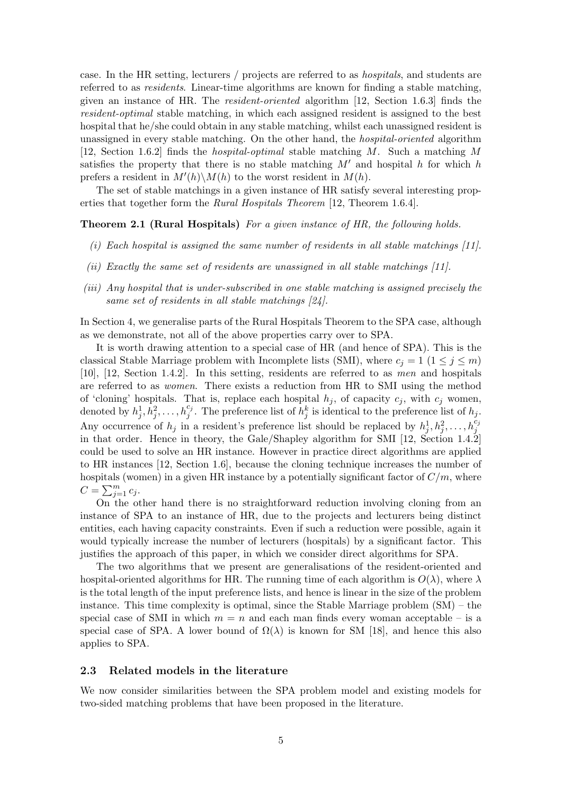case. In the HR setting, lecturers / projects are referred to as hospitals, and students are referred to as residents. Linear-time algorithms are known for finding a stable matching, given an instance of HR. The resident-oriented algorithm [12, Section 1.6.3] finds the resident-optimal stable matching, in which each assigned resident is assigned to the best hospital that he/she could obtain in any stable matching, whilst each unassigned resident is unassigned in every stable matching. On the other hand, the hospital-oriented algorithm [12, Section 1.6.2] finds the hospital-optimal stable matching M. Such a matching M satisfies the property that there is no stable matching  $M'$  and hospital h for which h prefers a resident in  $M'(h)\backslash M(h)$  to the worst resident in  $M(h)$ .

The set of stable matchings in a given instance of HR satisfy several interesting properties that together form the Rural Hospitals Theorem [12, Theorem 1.6.4].

#### Theorem 2.1 (Rural Hospitals) For a given instance of HR, the following holds.

- (i) Each hospital is assigned the same number of residents in all stable matchings [11].
- (ii) Exactly the same set of residents are unassigned in all stable matchings [11].
- (iii) Any hospital that is under-subscribed in one stable matching is assigned precisely the same set of residents in all stable matchings [24].

In Section 4, we generalise parts of the Rural Hospitals Theorem to the SPA case, although as we demonstrate, not all of the above properties carry over to SPA.

It is worth drawing attention to a special case of HR (and hence of SPA). This is the classical Stable Marriage problem with Incomplete lists (SMI), where  $c_j = 1$  ( $1 \le j \le m$ ) [10], [12, Section 1.4.2]. In this setting, residents are referred to as men and hospitals are referred to as women. There exists a reduction from HR to SMI using the method of 'cloning' hospitals. That is, replace each hospital  $h_i$ , of capacity  $c_i$ , with  $c_i$  women, denoted by  $h_j^1, h_j^2, \ldots, h_j^{c_j}$ . The preference list of  $h_j^k$  is identical to the preference list of  $h_j$ . Any occurrence of  $h_j$  in a resident's preference list should be replaced by  $h_j^1, h_j^2, \ldots, h_j^{c_j}$ in that order. Hence in theory, the Gale/Shapley algorithm for SMI [12, Section 1.4.2] could be used to solve an HR instance. However in practice direct algorithms are applied to HR instances [12, Section 1.6], because the cloning technique increases the number of hospitals (women) in a given HR instance by a potentially significant factor of  $C/m$ , where  $C = \sum_{j=1}^{m} c_j$ .

On the other hand there is no straightforward reduction involving cloning from an instance of SPA to an instance of HR, due to the projects and lecturers being distinct entities, each having capacity constraints. Even if such a reduction were possible, again it would typically increase the number of lecturers (hospitals) by a significant factor. This justifies the approach of this paper, in which we consider direct algorithms for SPA.

The two algorithms that we present are generalisations of the resident-oriented and hospital-oriented algorithms for HR. The running time of each algorithm is  $O(\lambda)$ , where  $\lambda$ is the total length of the input preference lists, and hence is linear in the size of the problem instance. This time complexity is optimal, since the Stable Marriage problem  $(SM)$  – the special case of SMI in which  $m = n$  and each man finds every woman acceptable – is a special case of SPA. A lower bound of  $\Omega(\lambda)$  is known for SM [18], and hence this also applies to SPA.

#### 2.3 Related models in the literature

We now consider similarities between the SPA problem model and existing models for two-sided matching problems that have been proposed in the literature.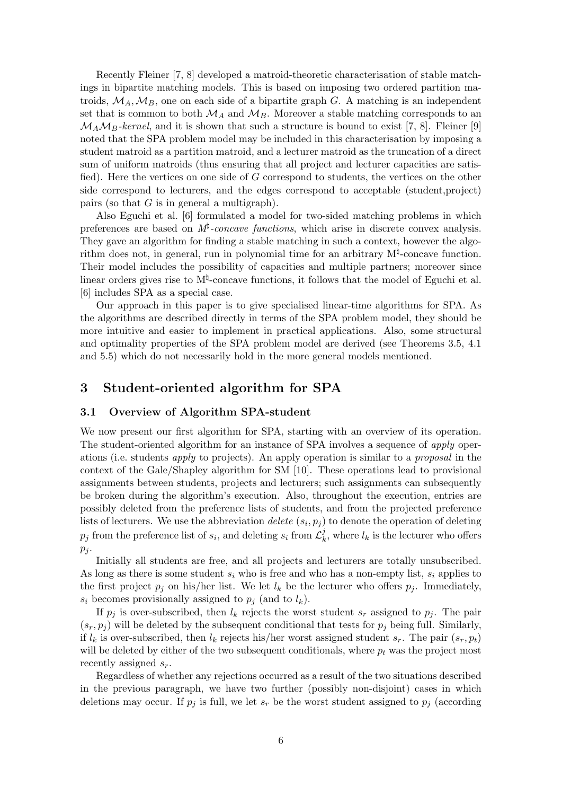Recently Fleiner [7, 8] developed a matroid-theoretic characterisation of stable matchings in bipartite matching models. This is based on imposing two ordered partition matroids,  $\mathcal{M}_A$ ,  $\mathcal{M}_B$ , one on each side of a bipartite graph G. A matching is an independent set that is common to both  $\mathcal{M}_A$  and  $\mathcal{M}_B$ . Moreover a stable matching corresponds to an  $\mathcal{M}_A\mathcal{M}_B$ -kernel, and it is shown that such a structure is bound to exist [7, 8]. Fleiner [9] noted that the SPA problem model may be included in this characterisation by imposing a student matroid as a partition matroid, and a lecturer matroid as the truncation of a direct sum of uniform matroids (thus ensuring that all project and lecturer capacities are satisfied). Here the vertices on one side of G correspond to students, the vertices on the other side correspond to lecturers, and the edges correspond to acceptable (student,project) pairs (so that  $G$  is in general a multigraph).

Also Eguchi et al. [6] formulated a model for two-sided matching problems in which preferences are based on  $M^{\sharp}$ -concave functions, which arise in discrete convex analysis. They gave an algorithm for finding a stable matching in such a context, however the algorithm does not, in general, run in polynomial time for an arbitrary  $M^{\sharp}$ -concave function. Their model includes the possibility of capacities and multiple partners; moreover since linear orders gives rise to  $M^{\natural}$ -concave functions, it follows that the model of Eguchi et al. [6] includes SPA as a special case.

Our approach in this paper is to give specialised linear-time algorithms for SPA. As the algorithms are described directly in terms of the SPA problem model, they should be more intuitive and easier to implement in practical applications. Also, some structural and optimality properties of the SPA problem model are derived (see Theorems 3.5, 4.1 and 5.5) which do not necessarily hold in the more general models mentioned.

# 3 Student-oriented algorithm for SPA

#### 3.1 Overview of Algorithm SPA-student

We now present our first algorithm for SPA, starting with an overview of its operation. The student-oriented algorithm for an instance of SPA involves a sequence of *apply* operations (i.e. students apply to projects). An apply operation is similar to a proposal in the context of the Gale/Shapley algorithm for SM [10]. These operations lead to provisional assignments between students, projects and lecturers; such assignments can subsequently be broken during the algorithm's execution. Also, throughout the execution, entries are possibly deleted from the preference lists of students, and from the projected preference lists of lecturers. We use the abbreviation *delete*  $(s_i, p_j)$  to denote the operation of deleting  $p_j$  from the preference list of  $s_i$ , and deleting  $s_i$  from  $\mathcal{L}_k^j$  $\mathcal{L}_k^j$ , where  $\mathcal{L}_k$  is the lecturer who offers  $p_j$ .

Initially all students are free, and all projects and lecturers are totally unsubscribed. As long as there is some student  $s_i$  who is free and who has a non-empty list,  $s_i$  applies to the first project  $p_j$  on his/her list. We let  $l_k$  be the lecturer who offers  $p_j$ . Immediately,  $s_i$  becomes provisionally assigned to  $p_j$  (and to  $l_k$ ).

If  $p_i$  is over-subscribed, then  $l_k$  rejects the worst student  $s_r$  assigned to  $p_i$ . The pair  $(s_r, p_i)$  will be deleted by the subsequent conditional that tests for  $p_i$  being full. Similarly, if  $l_k$  is over-subscribed, then  $l_k$  rejects his/her worst assigned student  $s_r$ . The pair  $(s_r, p_t)$ will be deleted by either of the two subsequent conditionals, where  $p_t$  was the project most recently assigned  $s_r$ .

Regardless of whether any rejections occurred as a result of the two situations described in the previous paragraph, we have two further (possibly non-disjoint) cases in which deletions may occur. If  $p_j$  is full, we let  $s_r$  be the worst student assigned to  $p_j$  (according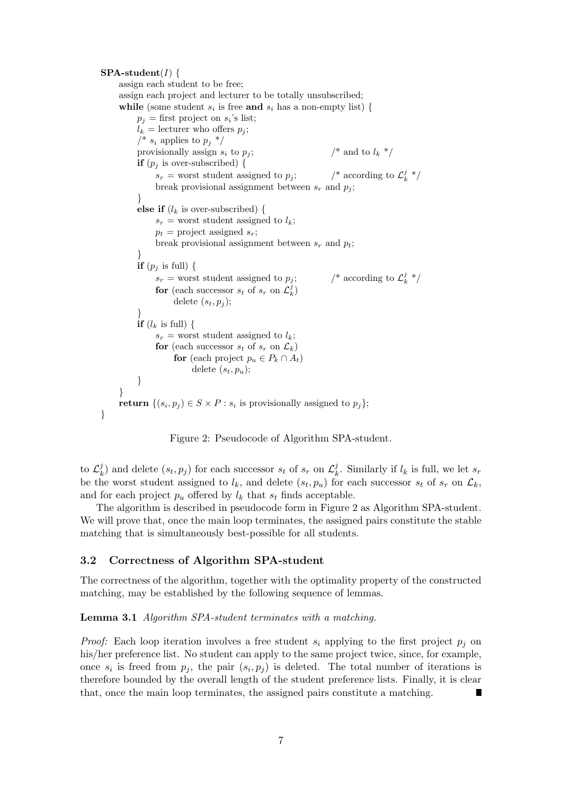$SPA-student(I)$  { assign each student to be free; assign each project and lecturer to be totally unsubscribed; while (some student  $s_i$  is free and  $s_i$  has a non-empty list) {  $p_j$  = first project on  $s_i$ 's list;  $l_k =$  lecturer who offers  $p_i$ ; /\*  $s_i$  applies to  $p_i$  \*/ provisionally assign  $s_i$  to  $p_j$ ;  $/$ \* and to  $l_k$  \*/ **if**  $(p_i$  is over-subscribed) {  $s_r$  = worst student assigned to  $p_i$ ;  $\frac{j}{k}$  \*/ break provisional assignment between  $s_r$  and  $p_i$ ; } else if  $(l_k$  is over-subscribed) {  $s_r$  = worst student assigned to  $l_k$ ;  $p_t$  = project assigned  $s_r$ ; break provisional assignment between  $s_r$  and  $p_t$ ; } **if**  $(p_i$  is full) {  $s_r$  = worst student assigned to  $p_i$ ;  $\frac{j}{k}$  \*/ for (each successor  $s_t$  of  $s_r$  on  $\mathcal{L}_k^j$ ) delete  $(s_t, p_i)$ ; } **if**  $(l_k$  is full) {  $s_r$  = worst student assigned to  $l_k$ ; for (each successor  $s_t$  of  $s_r$  on  $\mathcal{L}_k$ ) for (each project  $p_u \in P_k \cap A_t$ ) delete  $(s_t, p_u);$ } } return  $\{(s_i, p_j) \in S \times P : s_i \text{ is provisionally assigned to } p_j\};$ 



to  $\mathcal{L}^j_k$  $\boldsymbol{h}_k^j)$  and delete  $(s_t, p_j)$  for each successor  $s_t$  of  $s_r$  on  $\mathcal{L}_k^j$  $\frac{J}{k}$ . Similarly if  $l_k$  is full, we let  $s_r$ be the worst student assigned to  $l_k$ , and delete  $(s_t, p_u)$  for each successor  $s_t$  of  $s_r$  on  $\mathcal{L}_k$ , and for each project  $p_u$  offered by  $l_k$  that  $s_t$  finds acceptable.

The algorithm is described in pseudocode form in Figure 2 as Algorithm SPA-student. We will prove that, once the main loop terminates, the assigned pairs constitute the stable matching that is simultaneously best-possible for all students.

#### 3.2 Correctness of Algorithm SPA-student

}

The correctness of the algorithm, together with the optimality property of the constructed matching, may be established by the following sequence of lemmas.

Lemma 3.1 Algorithm SPA-student terminates with a matching.

*Proof:* Each loop iteration involves a free student  $s_i$  applying to the first project  $p_i$  on his/her preference list. No student can apply to the same project twice, since, for example, once  $s_i$  is freed from  $p_j$ , the pair  $(s_i, p_j)$  is deleted. The total number of iterations is therefore bounded by the overall length of the student preference lists. Finally, it is clear that, once the main loop terminates, the assigned pairs constitute a matching.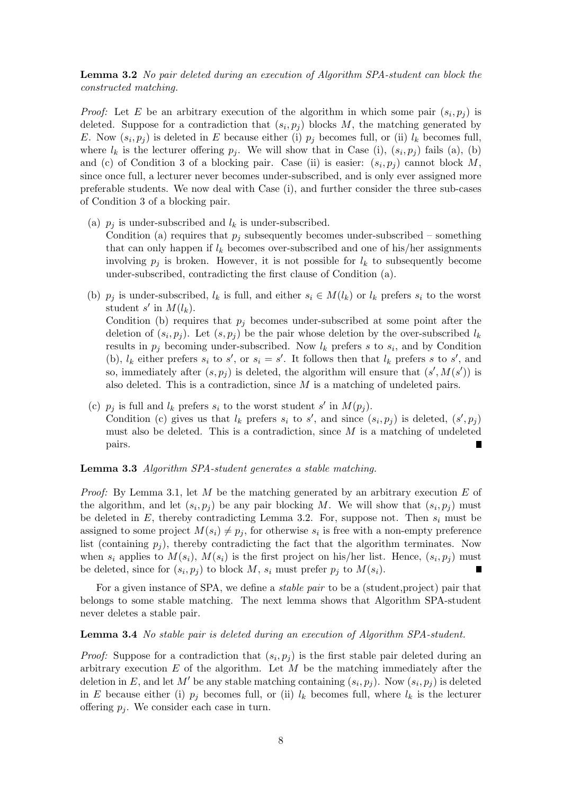### Lemma 3.2 No pair deleted during an execution of Algorithm SPA-student can block the constructed matching.

*Proof:* Let E be an arbitrary execution of the algorithm in which some pair  $(s_i, p_j)$  is deleted. Suppose for a contradiction that  $(s_i, p_j)$  blocks M, the matching generated by E. Now  $(s_i, p_j)$  is deleted in E because either (i)  $p_j$  becomes full, or (ii)  $l_k$  becomes full, where  $l_k$  is the lecturer offering  $p_j$ . We will show that in Case (i),  $(s_i, p_j)$  fails (a), (b) and (c) of Condition 3 of a blocking pair. Case (ii) is easier:  $(s_i, p_j)$  cannot block M, since once full, a lecturer never becomes under-subscribed, and is only ever assigned more preferable students. We now deal with Case (i), and further consider the three sub-cases of Condition 3 of a blocking pair.

- (a)  $p_i$  is under-subscribed and  $l_k$  is under-subscribed. Condition (a) requires that  $p_j$  subsequently becomes under-subscribed – something that can only happen if  $l_k$  becomes over-subscribed and one of his/her assignments involving  $p_i$  is broken. However, it is not possible for  $l_k$  to subsequently become under-subscribed, contradicting the first clause of Condition (a).
- (b)  $p_i$  is under-subscribed,  $l_k$  is full, and either  $s_i \in M(l_k)$  or  $l_k$  prefers  $s_i$  to the worst student s' in  $M(l_k)$ . Condition (b) requires that  $p_j$  becomes under-subscribed at some point after the deletion of  $(s_i, p_j)$ . Let  $(s_i, p_j)$  be the pair whose deletion by the over-subscribed  $l_k$ results in  $p_j$  becoming under-subscribed. Now  $l_k$  prefers s to  $s_i$ , and by Condition (b),  $l_k$  either prefers  $s_i$  to  $s'$ , or  $s_i = s'$ . It follows then that  $l_k$  prefers s to  $s'$ , and so, immediately after  $(s, p_j)$  is deleted, the algorithm will ensure that  $(s', M(s'))$  is also deleted. This is a contradiction, since  $M$  is a matching of undeleted pairs.
- (c)  $p_j$  is full and  $l_k$  prefers  $s_i$  to the worst student s' in  $M(p_j)$ . Condition (c) gives us that  $l_k$  prefers  $s_i$  to  $s'$ , and since  $(s_i, p_j)$  is deleted,  $(s', p_j)$ must also be deleted. This is a contradiction, since  $M$  is a matching of undeleted pairs.

#### Lemma 3.3 Algorithm SPA-student generates a stable matching.

*Proof:* By Lemma 3.1, let M be the matching generated by an arbitrary execution E of the algorithm, and let  $(s_i, p_j)$  be any pair blocking M. We will show that  $(s_i, p_j)$  must be deleted in  $E$ , thereby contradicting Lemma 3.2. For, suppose not. Then  $s_i$  must be assigned to some project  $M(s_i) \neq p_j$ , for otherwise  $s_i$  is free with a non-empty preference list (containing  $p_i$ ), thereby contradicting the fact that the algorithm terminates. Now when  $s_i$  applies to  $M(s_i)$ ,  $M(s_i)$  is the first project on his/her list. Hence,  $(s_i, p_j)$  must be deleted, since for  $(s_i, p_j)$  to block M,  $s_i$  must prefer  $p_j$  to  $M(s_i)$ .

For a given instance of SPA, we define a *stable pair* to be a (student, project) pair that belongs to some stable matching. The next lemma shows that Algorithm SPA-student never deletes a stable pair.

#### Lemma 3.4 No stable pair is deleted during an execution of Algorithm SPA-student.

*Proof:* Suppose for a contradiction that  $(s_i, p_j)$  is the first stable pair deleted during an arbitrary execution  $E$  of the algorithm. Let  $M$  be the matching immediately after the deletion in E, and let M' be any stable matching containing  $(s_i, p_j)$ . Now  $(s_i, p_j)$  is deleted in E because either (i)  $p_i$  becomes full, or (ii)  $l_k$  becomes full, where  $l_k$  is the lecturer offering  $p_i$ . We consider each case in turn.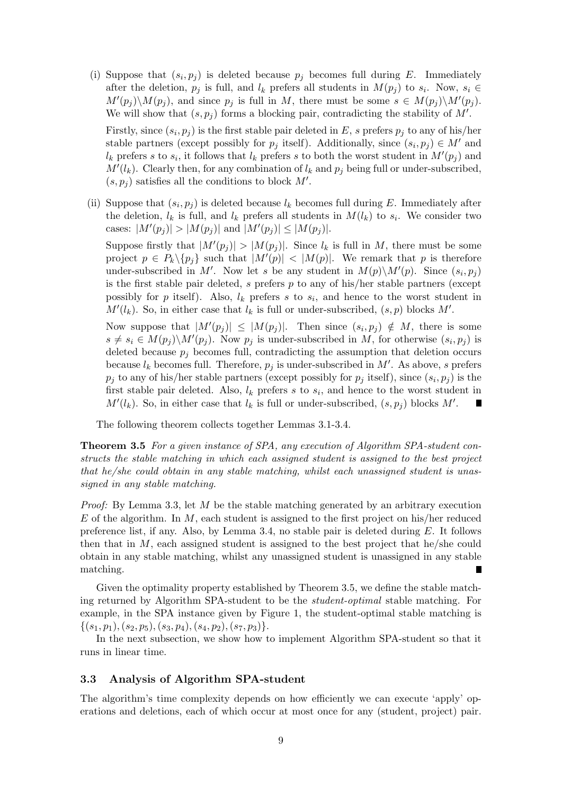(i) Suppose that  $(s_i, p_j)$  is deleted because  $p_j$  becomes full during E. Immediately after the deletion,  $p_j$  is full, and  $l_k$  prefers all students in  $M(p_j)$  to  $s_i$ . Now,  $s_i \in$  $M'(p_j)\backslash M(p_j)$ , and since  $p_j$  is full in M, there must be some  $s \in M(p_j)\backslash M'(p_j)$ . We will show that  $(s, p_j)$  forms a blocking pair, contradicting the stability of  $M'$ .

Firstly, since  $(s_i, p_j)$  is the first stable pair deleted in E, s prefers  $p_j$  to any of his/her stable partners (except possibly for  $p_j$  itself). Additionally, since  $(s_i, p_j) \in M'$  and  $l_k$  prefers s to  $s_i$ , it follows that  $l_k$  prefers s to both the worst student in  $M'(p_j)$  and  $M'(l_k)$ . Clearly then, for any combination of  $l_k$  and  $p_j$  being full or under-subscribed,  $(s, p_j)$  satisfies all the conditions to block M'.

(ii) Suppose that  $(s_i, p_j)$  is deleted because  $l_k$  becomes full during E. Immediately after the deletion,  $l_k$  is full, and  $l_k$  prefers all students in  $M(l_k)$  to  $s_i$ . We consider two cases:  $|M'(p_j)| > |M(p_j)|$  and  $|M'(p_j)| \le |M(p_j)|$ .

Suppose firstly that  $|M'(p_j)| > |M(p_j)|$ . Since  $l_k$  is full in M, there must be some project  $p \in P_k \setminus \{p_j\}$  such that  $|M'(p)| < |M(p)|$ . We remark that p is therefore under-subscribed in M'. Now let s be any student in  $M(p)\setminus M'(p)$ . Since  $(s_i, p_j)$ is the first stable pair deleted, s prefers  $p$  to any of his/her stable partners (except possibly for p itself). Also,  $l_k$  prefers s to  $s_i$ , and hence to the worst student in  $M'(l_k)$ . So, in either case that  $l_k$  is full or under-subscribed,  $(s, p)$  blocks  $M'$ .

Now suppose that  $|M'(p_j)| \leq |M(p_j)|$ . Then since  $(s_i, p_j) \notin M$ , there is some  $s \neq s_i \in M(p_j) \backslash M'(p_j)$ . Now  $p_j$  is under-subscribed in M, for otherwise  $(s_i, p_j)$  is deleted because  $p_j$  becomes full, contradicting the assumption that deletion occurs because  $l_k$  becomes full. Therefore,  $p_j$  is under-subscribed in M'. As above, s prefers  $p_j$  to any of his/her stable partners (except possibly for  $p_j$  itself), since  $(s_i, p_j)$  is the first stable pair deleted. Also,  $l_k$  prefers s to  $s_i$ , and hence to the worst student in  $M'(l_k)$ . So, in either case that  $l_k$  is full or under-subscribed,  $(s, p_j)$  blocks  $M'$ .

The following theorem collects together Lemmas 3.1-3.4.

Theorem 3.5 For a given instance of SPA, any execution of Algorithm SPA-student constructs the stable matching in which each assigned student is assigned to the best project that he/she could obtain in any stable matching, whilst each unassigned student is unassigned in any stable matching.

*Proof:* By Lemma 3.3, let M be the stable matching generated by an arbitrary execution E of the algorithm. In  $M$ , each student is assigned to the first project on his/her reduced preference list, if any. Also, by Lemma 3.4, no stable pair is deleted during  $E$ . It follows then that in  $M$ , each assigned student is assigned to the best project that he/she could obtain in any stable matching, whilst any unassigned student is unassigned in any stable matching.

Given the optimality property established by Theorem 3.5, we define the stable matching returned by Algorithm SPA-student to be the student-optimal stable matching. For example, in the SPA instance given by Figure 1, the student-optimal stable matching is  $\{(s_1, p_1), (s_2, p_5), (s_3, p_4), (s_4, p_2), (s_7, p_3)\}.$ 

In the next subsection, we show how to implement Algorithm SPA-student so that it runs in linear time.

#### 3.3 Analysis of Algorithm SPA-student

The algorithm's time complexity depends on how efficiently we can execute 'apply' operations and deletions, each of which occur at most once for any (student, project) pair.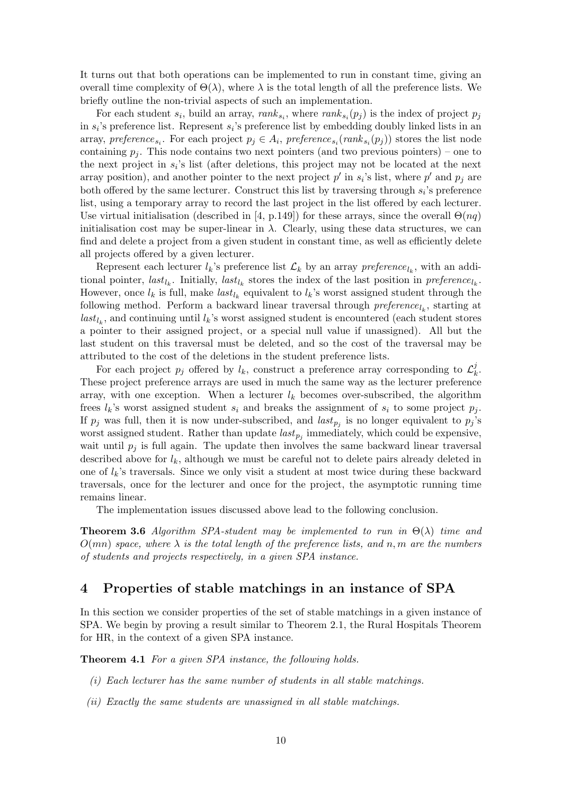It turns out that both operations can be implemented to run in constant time, giving an overall time complexity of  $\Theta(\lambda)$ , where  $\lambda$  is the total length of all the preference lists. We briefly outline the non-trivial aspects of such an implementation.

For each student  $s_i$ , build an array,  $rank_{s_i}$ , where  $rank_{s_i}(p_j)$  is the index of project  $p_j$ in  $s_i$ 's preference list. Represent  $s_i$ 's preference list by embedding doubly linked lists in an array, preference<sub>s<sub>i</sub></sub>. For each project  $p_j \in A_i$ , preference<sub>s<sub>i</sub></sub> $(\text{rank}_{s_i}(p_j))$  stores the list node containing  $p_i$ . This node contains two next pointers (and two previous pointers) – one to the next project in  $s_i$ 's list (after deletions, this project may not be located at the next array position), and another pointer to the next project  $p'$  in  $s_i$ 's list, where  $p'$  and  $p_j$  are both offered by the same lecturer. Construct this list by traversing through  $s_i$ 's preference list, using a temporary array to record the last project in the list offered by each lecturer. Use virtual initialisation (described in [4, p.149]) for these arrays, since the overall  $\Theta(nq)$ initialisation cost may be super-linear in  $\lambda$ . Clearly, using these data structures, we can find and delete a project from a given student in constant time, as well as efficiently delete all projects offered by a given lecturer.

Represent each lecturer  $l_k$ 's preference list  $\mathcal{L}_k$  by an array  $preference_{l_k}$ , with an additional pointer,  $last_{l_k}$ . Initially,  $last_{l_k}$  stores the index of the last position in  $preference_{l_k}$ . However, once  $l_k$  is full, make  $last_{l_k}$  equivalent to  $l_k$ 's worst assigned student through the following method. Perform a backward linear traversal through  $\mathit{preference}_{l_k}$ , starting at  $last_{l_k}$ , and continuing until  $l_k$ 's worst assigned student is encountered (each student stores a pointer to their assigned project, or a special null value if unassigned). All but the last student on this traversal must be deleted, and so the cost of the traversal may be attributed to the cost of the deletions in the student preference lists.

For each project  $p_j$  offered by  $l_k$ , construct a preference array corresponding to  $\mathcal{L}^j_k$  $\frac{j}{k}$ . These project preference arrays are used in much the same way as the lecturer preference array, with one exception. When a lecturer  $l_k$  becomes over-subscribed, the algorithm frees  $l_k$ 's worst assigned student  $s_i$  and breaks the assignment of  $s_i$  to some project  $p_j$ . If  $p_j$  was full, then it is now under-subscribed, and  $last_{p_j}$  is no longer equivalent to  $p_j$ 's worst assigned student. Rather than update  $last_{p_j}$  immediately, which could be expensive, wait until  $p_i$  is full again. The update then involves the same backward linear traversal described above for  $l_k$ , although we must be careful not to delete pairs already deleted in one of  $l_k$ 's traversals. Since we only visit a student at most twice during these backward traversals, once for the lecturer and once for the project, the asymptotic running time remains linear.

The implementation issues discussed above lead to the following conclusion.

**Theorem 3.6** Algorithm SPA-student may be implemented to run in  $\Theta(\lambda)$  time and  $O(mn)$  space, where  $\lambda$  is the total length of the preference lists, and n, m are the numbers of students and projects respectively, in a given SPA instance.

### 4 Properties of stable matchings in an instance of SPA

In this section we consider properties of the set of stable matchings in a given instance of SPA. We begin by proving a result similar to Theorem 2.1, the Rural Hospitals Theorem for HR, in the context of a given SPA instance.

Theorem 4.1 For a given SPA instance, the following holds.

- (i) Each lecturer has the same number of students in all stable matchings.
- (ii) Exactly the same students are unassigned in all stable matchings.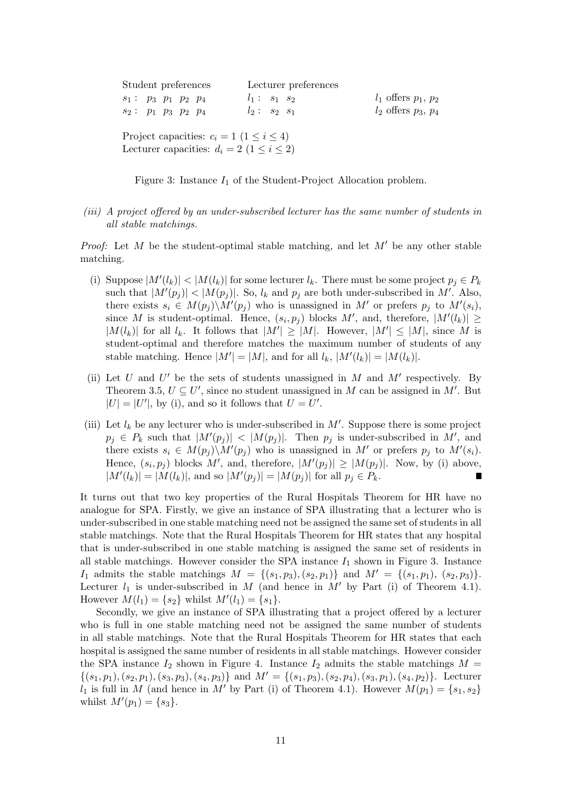| Student preferences                                                                                   | Lecturer preferences |                            |  |  |  |  |
|-------------------------------------------------------------------------------------------------------|----------------------|----------------------------|--|--|--|--|
| $s_1: p_3 p_1 p_2 p_4$                                                                                | $l_1: s_1 s_2$       | $l_1$ offers $p_1, p_2$    |  |  |  |  |
| $s_2: p_1 p_3 p_2 p_4$                                                                                | $l_2: s_2 s_1$       | $l_2$ offers $p_3$ , $p_4$ |  |  |  |  |
| Project capacities: $c_i = 1$ $(1 \le i \le 4)$<br>Lecturer capacities: $d_i = 2$ $(1 \leq i \leq 2)$ |                      |                            |  |  |  |  |

Figure 3: Instance  $I_1$  of the Student-Project Allocation problem.

(iii) A project offered by an under-subscribed lecturer has the same number of students in all stable matchings.

*Proof:* Let M be the student-optimal stable matching, and let  $M'$  be any other stable matching.

- (i) Suppose  $|M'(l_k)| < |M(l_k)|$  for some lecturer  $l_k$ . There must be some project  $p_j \in P_k$ such that  $|M'(p_j)| < |M(p_j)|$ . So,  $l_k$  and  $p_j$  are both under-subscribed in M'. Also, there exists  $s_i \in M(p_j) \backslash M'(p_j)$  who is unassigned in M' or prefers  $p_j$  to  $M'(s_i)$ , since M is student-optimal. Hence,  $(s_i, p_j)$  blocks M', and, therefore,  $|M'(l_k)| \ge$  $|M(l_k)|$  for all  $l_k$ . It follows that  $|M'| \ge |M|$ . However,  $|M'| \le |M|$ , since M is student-optimal and therefore matches the maximum number of students of any stable matching. Hence  $|M'| = |M|$ , and for all  $l_k$ ,  $|M'(l_k)| = |M(l_k)|$ .
- (ii) Let U and U' be the sets of students unassigned in M and  $M'$  respectively. By Theorem 3.5,  $U \subseteq U'$ , since no student unassigned in M can be assigned in M'. But  $|U| = |U'|$ , by (i), and so it follows that  $U = U'$ .
- (iii) Let  $l_k$  be any lecturer who is under-subscribed in  $M'$ . Suppose there is some project  $p_j \in P_k$  such that  $|M'(p_j)| < |M(p_j)|$ . Then  $p_j$  is under-subscribed in M', and there exists  $s_i \in M(p_j) \backslash M'(p_j)$  who is unassigned in M' or prefers  $p_j$  to  $M'(s_i)$ . Hence,  $(s_i, p_j)$  blocks M', and, therefore,  $|M'(p_j)| \geq |M(p_j)|$ . Now, by (i) above,  $|M'(l_k)| = |M(l_k)|$ , and so  $|M'(p_j)| = |M(p_j)|$  for all  $p_j \in P_k$ . Π

It turns out that two key properties of the Rural Hospitals Theorem for HR have no analogue for SPA. Firstly, we give an instance of SPA illustrating that a lecturer who is under-subscribed in one stable matching need not be assigned the same set of students in all stable matchings. Note that the Rural Hospitals Theorem for HR states that any hospital that is under-subscribed in one stable matching is assigned the same set of residents in all stable matchings. However consider the SPA instance  $I_1$  shown in Figure 3. Instance I<sub>1</sub> admits the stable matchings  $M = \{(s_1, p_3), (s_2, p_1)\}\$ and  $M' = \{(s_1, p_1), (s_2, p_3)\}.$ Lecturer  $l_1$  is under-subscribed in M (and hence in M' by Part (i) of Theorem 4.1). However  $M(l_1) = \{s_2\}$  whilst  $M'(l_1) = \{s_1\}.$ 

Secondly, we give an instance of SPA illustrating that a project offered by a lecturer who is full in one stable matching need not be assigned the same number of students in all stable matchings. Note that the Rural Hospitals Theorem for HR states that each hospital is assigned the same number of residents in all stable matchings. However consider the SPA instance  $I_2$  shown in Figure 4. Instance  $I_2$  admits the stable matchings  $M =$  $\{(s_1, p_1), (s_2, p_1), (s_3, p_3), (s_4, p_3)\}\$ and  $M' = \{(s_1, p_3), (s_2, p_4), (s_3, p_1), (s_4, p_2)\}\$ . Lecturer  $l_1$  is full in M (and hence in M' by Part (i) of Theorem 4.1). However  $M(p_1) = \{s_1, s_2\}$ whilst  $M'(p_1) = \{s_3\}.$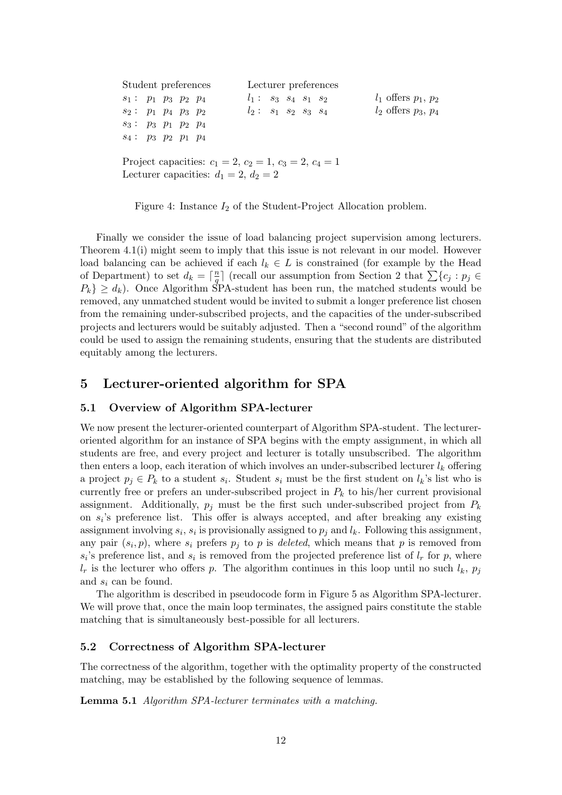| Student preferences                                      | Lecturer preferences   |                         |  |  |  |  |  |
|----------------------------------------------------------|------------------------|-------------------------|--|--|--|--|--|
| $s_1: p_1 p_3 p_2 p_4$                                   | $l_1: s_3 s_4 s_1 s_2$ | $l_1$ offers $p_1, p_2$ |  |  |  |  |  |
| $s_2: p_1 p_4 p_3 p_2$                                   | $l_2: s_1 s_2 s_3 s_4$ | $l_2$ offers $p_3, p_4$ |  |  |  |  |  |
| $s_3: p_3 p_1 p_2 p_4$                                   |                        |                         |  |  |  |  |  |
| $s_4: p_3 p_2 p_1 p_4$                                   |                        |                         |  |  |  |  |  |
| Project capacities: $c_1 = 2, c_2 = 1, c_3 = 2, c_4 = 1$ |                        |                         |  |  |  |  |  |
| Lecturer capacities: $d_1 = 2, d_2 = 2$                  |                        |                         |  |  |  |  |  |

Figure 4: Instance  $I_2$  of the Student-Project Allocation problem.

Finally we consider the issue of load balancing project supervision among lecturers. Theorem 4.1(i) might seem to imply that this issue is not relevant in our model. However load balancing can be achieved if each  $l_k \in L$  is constrained (for example by the Head of Department) to set  $d_k = \lceil \frac{n}{a} \rceil$  $\frac{n}{q}$  (recall our assumption from Section 2 that  $\sum {c_j : p_j \in \mathbb{R}^n}$  $P_k$   $\geq d_k$ ). Once Algorithm SPA-student has been run, the matched students would be removed, any unmatched student would be invited to submit a longer preference list chosen from the remaining under-subscribed projects, and the capacities of the under-subscribed projects and lecturers would be suitably adjusted. Then a "second round" of the algorithm could be used to assign the remaining students, ensuring that the students are distributed equitably among the lecturers.

# 5 Lecturer-oriented algorithm for SPA

#### 5.1 Overview of Algorithm SPA-lecturer

We now present the lecturer-oriented counterpart of Algorithm SPA-student. The lectureroriented algorithm for an instance of SPA begins with the empty assignment, in which all students are free, and every project and lecturer is totally unsubscribed. The algorithm then enters a loop, each iteration of which involves an under-subscribed lecturer  $l_k$  offering a project  $p_j \in P_k$  to a student  $s_i$ . Student  $s_i$  must be the first student on  $l_k$ 's list who is currently free or prefers an under-subscribed project in  $P_k$  to his/her current provisional assignment. Additionally,  $p_i$  must be the first such under-subscribed project from  $P_k$ on  $s_i$ 's preference list. This offer is always accepted, and after breaking any existing assignment involving  $s_i$ ,  $s_i$  is provisionally assigned to  $p_j$  and  $l_k$ . Following this assignment, any pair  $(s_i, p)$ , where  $s_i$  prefers  $p_j$  to p is *deleted*, which means that p is removed from  $s_i$ 's preference list, and  $s_i$  is removed from the projected preference list of  $l_r$  for p, where  $l_r$  is the lecturer who offers p. The algorithm continues in this loop until no such  $l_k$ ,  $p_j$ and  $s_i$  can be found.

The algorithm is described in pseudocode form in Figure 5 as Algorithm SPA-lecturer. We will prove that, once the main loop terminates, the assigned pairs constitute the stable matching that is simultaneously best-possible for all lecturers.

#### 5.2 Correctness of Algorithm SPA-lecturer

The correctness of the algorithm, together with the optimality property of the constructed matching, may be established by the following sequence of lemmas.

Lemma 5.1 Algorithm SPA-lecturer terminates with a matching.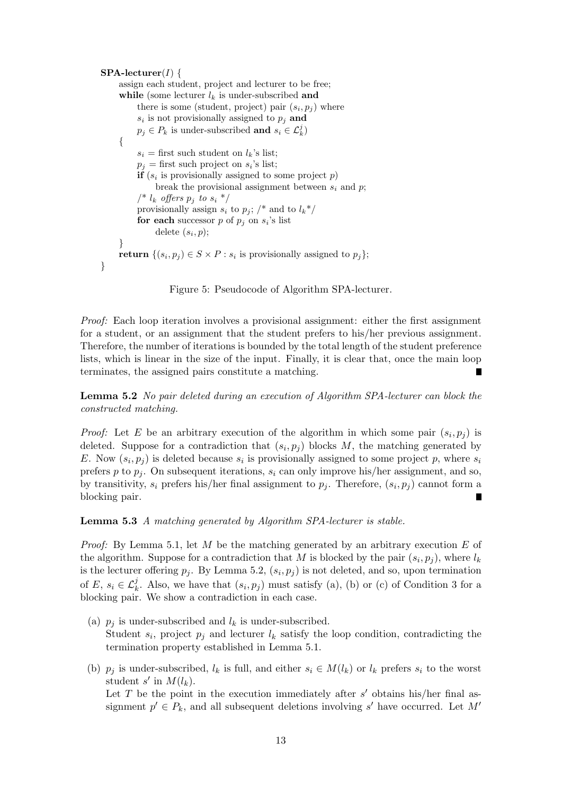```
SPA-electurer(I) {
assign each student, project and lecturer to be free;
while (some lecturer l_k is under-subscribed and
     there is some (student, project) pair (s_i, p_j) where
     s_i is not provisionally assigned to p_j and
     p_j \in P_k is under-subscribed and s_i \in \mathcal{L}_k^j{
     s_i = first such student on l_k's list;
     p_j = first such project on s_i's list;
     if (s_i is provisionally assigned to some project p)
          break the provisional assignment between s_i and p;
     \frac{1}{k} offers p_j to s_i */
     provisionally assign s_i to p_j; /* and to l_k^*/for each successor p of p_j on s_i's list
          delete (s_i, p);
}
return \{(s_i, p_j) \in S \times P : s_i \text{ is provisionally assigned to } p_j\};}
```
Figure 5: Pseudocode of Algorithm SPA-lecturer.

Proof: Each loop iteration involves a provisional assignment: either the first assignment for a student, or an assignment that the student prefers to his/her previous assignment. Therefore, the number of iterations is bounded by the total length of the student preference lists, which is linear in the size of the input. Finally, it is clear that, once the main loop terminates, the assigned pairs constitute a matching.

Lemma 5.2 No pair deleted during an execution of Algorithm SPA-lecturer can block the constructed matching.

*Proof:* Let E be an arbitrary execution of the algorithm in which some pair  $(s_i, p_j)$  is deleted. Suppose for a contradiction that  $(s_i, p_j)$  blocks M, the matching generated by E. Now  $(s_i, p_j)$  is deleted because  $s_i$  is provisionally assigned to some project p, where  $s_i$ prefers p to  $p_i$ . On subsequent iterations,  $s_i$  can only improve his/her assignment, and so, by transitivity,  $s_i$  prefers his/her final assignment to  $p_j$ . Therefore,  $(s_i, p_j)$  cannot form a blocking pair.

Lemma 5.3 A matching generated by Algorithm SPA-lecturer is stable.

*Proof:* By Lemma 5.1, let M be the matching generated by an arbitrary execution E of the algorithm. Suppose for a contradiction that M is blocked by the pair  $(s_i, p_j)$ , where  $l_k$ is the lecturer offering  $p_j$ . By Lemma 5.2,  $(s_i, p_j)$  is not deleted, and so, upon termination of E,  $s_i \in \mathcal{L}_{k}^j$ . Also, we have that  $(s_i, p_j)$  must satisfy (a), (b) or (c) of Condition 3 for a blocking pair. We show a contradiction in each case.

- (a)  $p_i$  is under-subscribed and  $l_k$  is under-subscribed. Student  $s_i$ , project  $p_j$  and lecturer  $l_k$  satisfy the loop condition, contradicting the termination property established in Lemma 5.1.
- (b)  $p_i$  is under-subscribed,  $l_k$  is full, and either  $s_i \in M(l_k)$  or  $l_k$  prefers  $s_i$  to the worst student s' in  $M(l_k)$ .

Let  $T$  be the point in the execution immediately after  $s'$  obtains his/her final assignment  $p' \in P_k$ , and all subsequent deletions involving s' have occurred. Let M'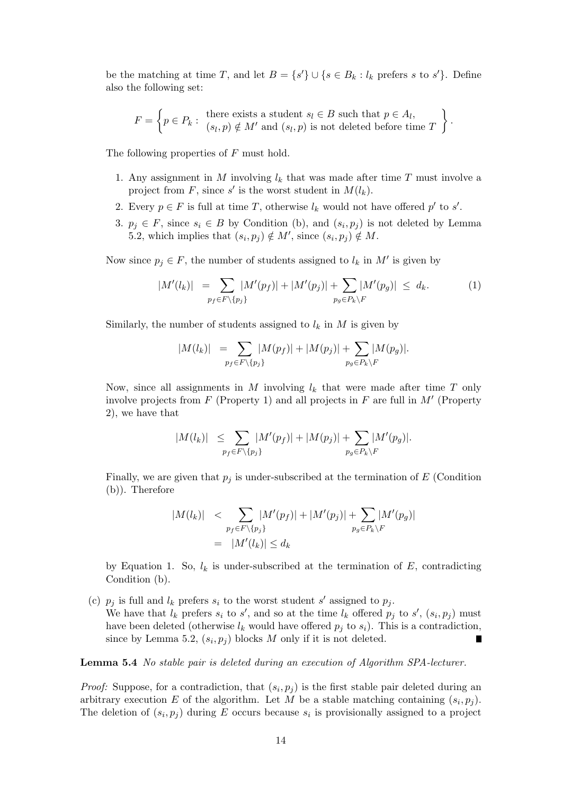be the matching at time T, and let  $B = \{s'\} \cup \{s \in B_k : l_k \text{ prefers } s \text{ to } s'\}.$  Define also the following set:

$$
F = \left\{ p \in P_k : \begin{array}{l} \text{there exists a student } s_l \in B \text{ such that } p \in A_l, \\ (s_l, p) \notin M' \text{ and } (s_l, p) \text{ is not deleted before time } T \end{array} \right\}.
$$

The following properties of F must hold.

- 1. Any assignment in M involving  $l_k$  that was made after time T must involve a project from F, since s' is the worst student in  $M(l_k)$ .
- 2. Every  $p \in F$  is full at time T, otherwise  $l_k$  would not have offered  $p'$  to  $s'$ .
- 3.  $p_j \in F$ , since  $s_i \in B$  by Condition (b), and  $(s_i, p_j)$  is not deleted by Lemma 5.2, which implies that  $(s_i, p_j) \notin M'$ , since  $(s_i, p_j) \notin M$ .

Now since  $p_j \in F$ , the number of students assigned to  $l_k$  in  $M'$  is given by

$$
|M'(l_k)| = \sum_{p_f \in F\backslash\{p_j\}} |M'(p_f)| + |M'(p_j)| + \sum_{p_g \in P_k\backslash F} |M'(p_g)| \leq d_k.
$$
 (1)

Similarly, the number of students assigned to  $l_k$  in M is given by

$$
|M(l_k)| = \sum_{p_f \in F \backslash \{p_j\}} |M(p_f)| + |M(p_j)| + \sum_{p_g \in P_k \backslash F} |M(p_g)|.
$$

Now, since all assignments in M involving  $l_k$  that were made after time T only involve projects from  $F$  (Property 1) and all projects in  $F$  are full in  $M'$  (Property 2), we have that

$$
|M(l_k)| \leq \sum_{p_f \in F\backslash\{p_j\}} |M'(p_f)| + |M(p_j)| + \sum_{p_g \in P_k\backslash F} |M'(p_g)|.
$$

Finally, we are given that  $p_j$  is under-subscribed at the termination of E (Condition (b)). Therefore

$$
|M(l_k)| \leq \sum_{p_f \in F\backslash\{p_j\}} |M'(p_f)| + |M'(p_j)| + \sum_{p_g \in P_k\backslash F} |M'(p_g)|
$$
  
= 
$$
|M'(l_k)| \leq d_k
$$

by Equation 1. So,  $l_k$  is under-subscribed at the termination of E, contradicting Condition (b).

(c)  $p_j$  is full and  $l_k$  prefers  $s_i$  to the worst student s' assigned to  $p_j$ . We have that  $l_k$  prefers  $s_i$  to  $s'$ , and so at the time  $l_k$  offered  $p_j$  to  $s'$ ,  $(s_i, p_j)$  must have been deleted (otherwise  $l_k$  would have offered  $p_i$  to  $s_i$ ). This is a contradiction, since by Lemma 5.2,  $(s_i, p_j)$  blocks M only if it is not deleted.

Lemma 5.4 No stable pair is deleted during an execution of Algorithm SPA-lecturer.

*Proof:* Suppose, for a contradiction, that  $(s_i, p_j)$  is the first stable pair deleted during an arbitrary execution E of the algorithm. Let M be a stable matching containing  $(s_i, p_j)$ . The deletion of  $(s_i, p_j)$  during E occurs because  $s_i$  is provisionally assigned to a project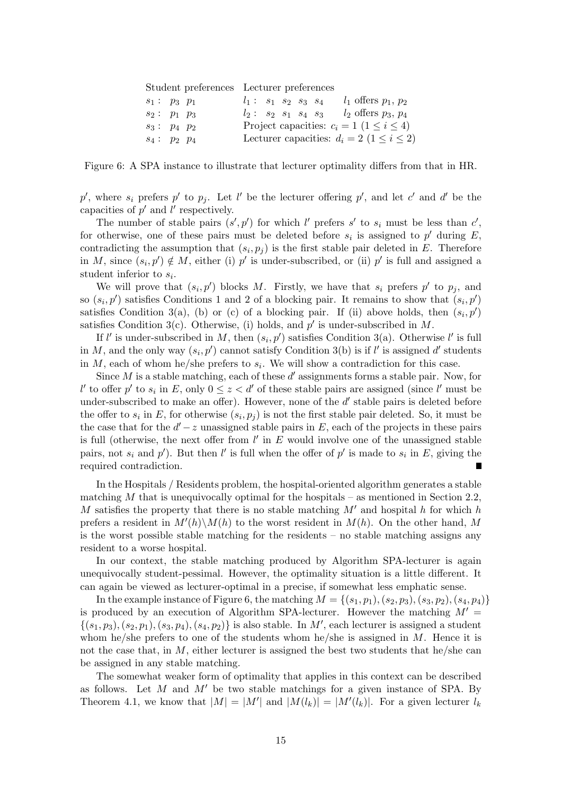|                | Student preferences Lecturer preferences           |
|----------------|----------------------------------------------------|
| $s_1: p_3 p_1$ | $l_1$ offers $p_1, p_2$<br>$l_1: s_1 s_2 s_3 s_4$  |
| $s_2: p_1 p_3$ | $l_2: s_2 s_1 s_4 s_3 l_2$ offers $p_3, p_4$       |
| $s_3: p_4 p_2$ | Project capacities: $c_i = 1$ $(1 \le i \le 4)$    |
| $s_4: p_2 p_4$ | Lecturer capacities: $d_i = 2$ $(1 \leq i \leq 2)$ |

Figure 6: A SPA instance to illustrate that lecturer optimality differs from that in HR.

p', where  $s_i$  prefers p' to  $p_j$ . Let l' be the lecturer offering p', and let c' and d' be the capacities of  $p'$  and  $l'$  respectively.

The number of stable pairs  $(s', p')$  for which l' prefers s' to  $s_i$  must be less than c', for otherwise, one of these pairs must be deleted before  $s_i$  is assigned to  $p'$  during E, contradicting the assumption that  $(s_i, p_j)$  is the first stable pair deleted in E. Therefore in M, since  $(s_i, p') \notin M$ , either (i) p' is under-subscribed, or (ii) p' is full and assigned a student inferior to  $s_i$ .

We will prove that  $(s_i, p')$  blocks M. Firstly, we have that  $s_i$  prefers  $p'$  to  $p_j$ , and so  $(s_i, p')$  satisfies Conditions 1 and 2 of a blocking pair. It remains to show that  $(s_i, p')$ satisfies Condition 3(a), (b) or (c) of a blocking pair. If (ii) above holds, then  $(s_i, p')$ satisfies Condition 3(c). Otherwise, (i) holds, and  $p'$  is under-subscribed in M.

If l' is under-subscribed in M, then  $(s_i, p')$  satisfies Condition 3(a). Otherwise l' is full in M, and the only way  $(s_i, p')$  cannot satisfy Condition 3(b) is if l' is assigned d' students in  $M$ , each of whom he/she prefers to  $s_i$ . We will show a contradiction for this case.

Since  $M$  is a stable matching, each of these  $d'$  assignments forms a stable pair. Now, for l' to offer p' to  $s_i$  in E, only  $0 \le z < d'$  of these stable pairs are assigned (since l' must be under-subscribed to make an offer). However, none of the  $d'$  stable pairs is deleted before the offer to  $s_i$  in E, for otherwise  $(s_i, p_j)$  is not the first stable pair deleted. So, it must be the case that for the  $d'-z$  unassigned stable pairs in E, each of the projects in these pairs is full (otherwise, the next offer from  $l'$  in  $E$  would involve one of the unassigned stable pairs, not  $s_i$  and  $p'$ ). But then l' is full when the offer of  $p'$  is made to  $s_i$  in E, giving the required contradiction.

In the Hospitals / Residents problem, the hospital-oriented algorithm generates a stable matching  $M$  that is unequivocally optimal for the hospitals – as mentioned in Section 2.2, M satisfies the property that there is no stable matching  $M'$  and hospital h for which h prefers a resident in  $M'(h)\backslash M(h)$  to the worst resident in  $M(h)$ . On the other hand, M is the worst possible stable matching for the residents – no stable matching assigns any resident to a worse hospital.

In our context, the stable matching produced by Algorithm SPA-lecturer is again unequivocally student-pessimal. However, the optimality situation is a little different. It can again be viewed as lecturer-optimal in a precise, if somewhat less emphatic sense.

In the example instance of Figure 6, the matching  $M = \{(s_1, p_1), (s_2, p_3), (s_3, p_2), (s_4, p_4)\}\$ is produced by an execution of Algorithm SPA-lecturer. However the matching  $M' =$  $\{(s_1, p_3), (s_2, p_1), (s_3, p_4), (s_4, p_2)\}\$ is also stable. In M', each lecturer is assigned a student whom he/she prefers to one of the students whom he/she is assigned in  $M$ . Hence it is not the case that, in  $M$ , either lecturer is assigned the best two students that he/she can be assigned in any stable matching.

The somewhat weaker form of optimality that applies in this context can be described as follows. Let M and  $M'$  be two stable matchings for a given instance of SPA. By Theorem 4.1, we know that  $|M| = |M'|$  and  $|M(l_k)| = |M'(l_k)|$ . For a given lecturer  $l_k$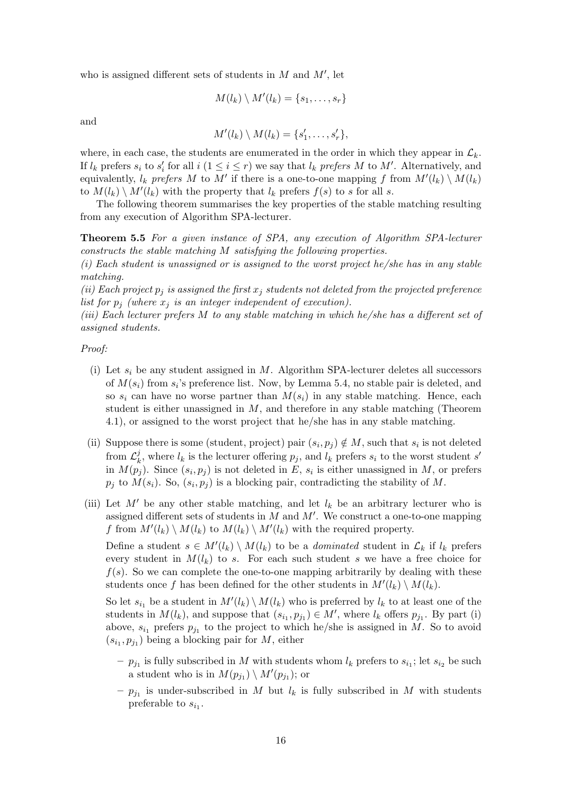who is assigned different sets of students in  $M$  and  $M'$ , let

$$
M(l_k) \setminus M'(l_k) = \{s_1, \ldots, s_r\}
$$

and

$$
M'(l_k) \setminus M(l_k) = \{s'_1, \ldots, s'_r\},\
$$

where, in each case, the students are enumerated in the order in which they appear in  $\mathcal{L}_k$ . If  $l_k$  prefers  $s_i$  to  $s'_i$  for all  $i$   $(1 \leq i \leq r)$  we say that  $l_k$  prefers M to M'. Alternatively, and equivalently,  $l_k$  prefers M to M' if there is a one-to-one mapping f from  $M'(l_k) \setminus M(l_k)$ to  $M(l_k) \setminus M'(l_k)$  with the property that  $l_k$  prefers  $f(s)$  to s for all s.

The following theorem summarises the key properties of the stable matching resulting from any execution of Algorithm SPA-lecturer.

Theorem 5.5 For a given instance of SPA, any execution of Algorithm SPA-lecturer constructs the stable matching M satisfying the following properties.

 $(i)$  Each student is unassigned or is assigned to the worst project he/she has in any stable matching.

(ii) Each project  $p_j$  is assigned the first  $x_j$  students not deleted from the projected preference list for  $p_i$  (where  $x_i$  is an integer independent of execution).

(iii) Each lecturer prefers M to any stable matching in which he/she has a different set of assigned students.

#### Proof:

- (i) Let  $s_i$  be any student assigned in M. Algorithm SPA-lecturer deletes all successors of  $M(s_i)$  from  $s_i$ 's preference list. Now, by Lemma 5.4, no stable pair is deleted, and so  $s_i$  can have no worse partner than  $M(s_i)$  in any stable matching. Hence, each student is either unassigned in  $M$ , and therefore in any stable matching (Theorem 4.1), or assigned to the worst project that he/she has in any stable matching.
- (ii) Suppose there is some (student, project) pair  $(s_i, p_j) \notin M$ , such that  $s_i$  is not deleted from  $\mathcal{L}^j_k$  $k$ , where  $l_k$  is the lecturer offering  $p_j$ , and  $l_k$  prefers  $s_i$  to the worst student s' in  $M(p_j)$ . Since  $(s_i, p_j)$  is not deleted in E,  $s_i$  is either unassigned in M, or prefers  $p_j$  to  $M(s_i)$ . So,  $(s_i, p_j)$  is a blocking pair, contradicting the stability of M.
- (iii) Let  $M'$  be any other stable matching, and let  $l_k$  be an arbitrary lecturer who is assigned different sets of students in  $M$  and  $M'$ . We construct a one-to-one mapping f from  $M'(l_k) \setminus M(l_k)$  to  $M(l_k) \setminus M'(l_k)$  with the required property.

Define a student  $s \in M'(l_k) \setminus M(l_k)$  to be a *dominated* student in  $\mathcal{L}_k$  if  $l_k$  prefers every student in  $M(l_k)$  to s. For each such student s we have a free choice for  $f(s)$ . So we can complete the one-to-one mapping arbitrarily by dealing with these students once f has been defined for the other students in  $M'(l_k) \setminus M(l_k)$ .

So let  $s_{i_1}$  be a student in  $M'(l_k) \setminus M(l_k)$  who is preferred by  $l_k$  to at least one of the students in  $M(l_k)$ , and suppose that  $(s_{i_1}, p_{j_1}) \in M'$ , where  $l_k$  offers  $p_{j_1}$ . By part (i) above,  $s_{i_1}$  prefers  $p_{j_1}$  to the project to which he/she is assigned in M. So to avoid  $(s_{i_1}, p_{j_1})$  being a blocking pair for M, either

- $p_{j_1}$  is fully subscribed in M with students whom  $l_k$  prefers to  $s_{i_1}$ ; let  $s_{i_2}$  be such a student who is in  $M(p_{j_1}) \setminus M'(p_{j_1})$ ; or
- $p_{j_1}$  is under-subscribed in M but  $l_k$  is fully subscribed in M with students preferable to  $s_{i_1}$ .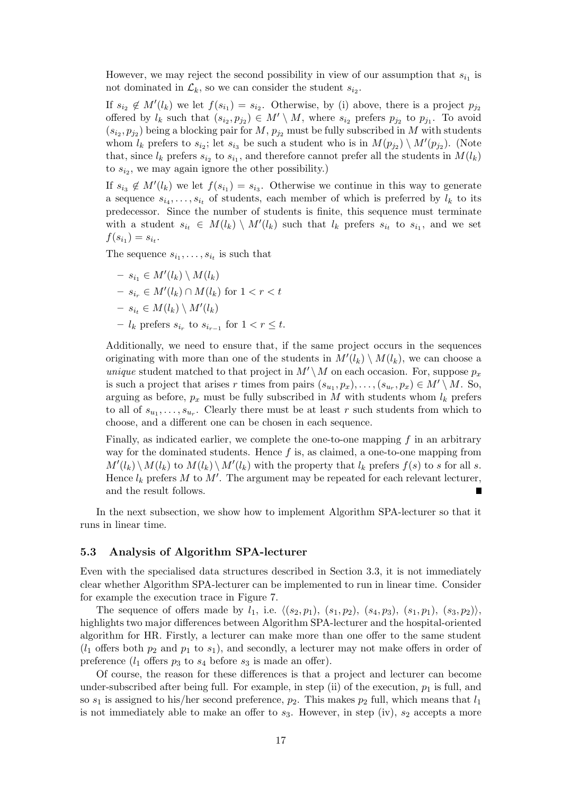However, we may reject the second possibility in view of our assumption that  $s_{i_1}$  is not dominated in  $\mathcal{L}_k$ , so we can consider the student  $s_{i_2}$ .

If  $s_{i_2} \notin M'(l_k)$  we let  $f(s_{i_1}) = s_{i_2}$ . Otherwise, by (i) above, there is a project  $p_{j_2}$ offered by  $l_k$  such that  $(s_{i_2}, p_{j_2}) \in M' \setminus M$ , where  $s_{i_2}$  prefers  $p_{j_2}$  to  $p_{j_1}$ . To avoid  $(s_{i_2}, p_{j_2})$  being a blocking pair for  $M$ ,  $p_{j_2}$  must be fully subscribed in M with students whom  $l_k$  prefers to  $s_{i_2}$ ; let  $s_{i_3}$  be such a student who is in  $M(p_{j_2}) \setminus M'(p_{j_2})$ . (Note that, since  $l_k$  prefers  $s_{i_2}$  to  $s_{i_1}$ , and therefore cannot prefer all the students in  $M(l_k)$ to  $s_{i_2}$ , we may again ignore the other possibility.)

If  $s_{i_3} \notin M'(l_k)$  we let  $f(s_{i_1}) = s_{i_3}$ . Otherwise we continue in this way to generate a sequence  $s_{i_1}, \ldots, s_{i_t}$  of students, each member of which is preferred by  $l_k$  to its predecessor. Since the number of students is finite, this sequence must terminate with a student  $s_{i_t} \in M(l_k) \setminus M'(l_k)$  such that  $l_k$  prefers  $s_{i_t}$  to  $s_{i_1}$ , and we set  $f(s_{i_1}) = s_{i_t}.$ 

The sequence  $s_{i_1}, \ldots, s_{i_t}$  is such that

 $- s_{i_1} \in M'(l_k) \setminus M(l_k)$  $- s_{i_r} ∈ M'(l_k) ∩ M(l_k)$  for  $1 < r < t$  $- s_{i_t} \in M(l_k) \setminus M'(l_k)$  $- l_k$  prefers  $s_{i_r}$  to  $s_{i_{r-1}}$  for  $1 < r ≤ t$ .

Additionally, we need to ensure that, if the same project occurs in the sequences originating with more than one of the students in  $M'(l_k) \setminus M(l_k)$ , we can choose a unique student matched to that project in  $M' \setminus M$  on each occasion. For, suppose  $p_x$ is such a project that arises r times from pairs  $(s_{u_1}, p_x), \ldots, (s_{u_r}, p_x) \in M' \setminus M$ . So, arguing as before,  $p_x$  must be fully subscribed in M with students whom  $l_k$  prefers to all of  $s_{u_1}, \ldots, s_{u_r}$ . Clearly there must be at least r such students from which to choose, and a different one can be chosen in each sequence.

Finally, as indicated earlier, we complete the one-to-one mapping  $f$  in an arbitrary way for the dominated students. Hence  $f$  is, as claimed, a one-to-one mapping from  $M'(l_k) \setminus M(l_k)$  to  $M(l_k) \setminus M'(l_k)$  with the property that  $l_k$  prefers  $f(s)$  to s for all s. Hence  $l_k$  prefers M to M'. The argument may be repeated for each relevant lecturer, and the result follows. Г

In the next subsection, we show how to implement Algorithm SPA-lecturer so that it runs in linear time.

#### 5.3 Analysis of Algorithm SPA-lecturer

Even with the specialised data structures described in Section 3.3, it is not immediately clear whether Algorithm SPA-lecturer can be implemented to run in linear time. Consider for example the execution trace in Figure 7.

The sequence of offers made by  $l_1$ , i.e.  $\langle (s_2, p_1), (s_1, p_2), (s_4, p_3), (s_1, p_1), (s_3, p_2) \rangle$ , highlights two major differences between Algorithm SPA-lecturer and the hospital-oriented algorithm for HR. Firstly, a lecturer can make more than one offer to the same student  $(l_1$  offers both  $p_2$  and  $p_1$  to  $s_1$ ), and secondly, a lecturer may not make offers in order of preference  $(l_1$  offers  $p_3$  to  $s_4$  before  $s_3$  is made an offer).

Of course, the reason for these differences is that a project and lecturer can become under-subscribed after being full. For example, in step (ii) of the execution,  $p_1$  is full, and so  $s_1$  is assigned to his/her second preference,  $p_2$ . This makes  $p_2$  full, which means that  $l_1$ is not immediately able to make an offer to  $s_3$ . However, in step (iv),  $s_2$  accepts a more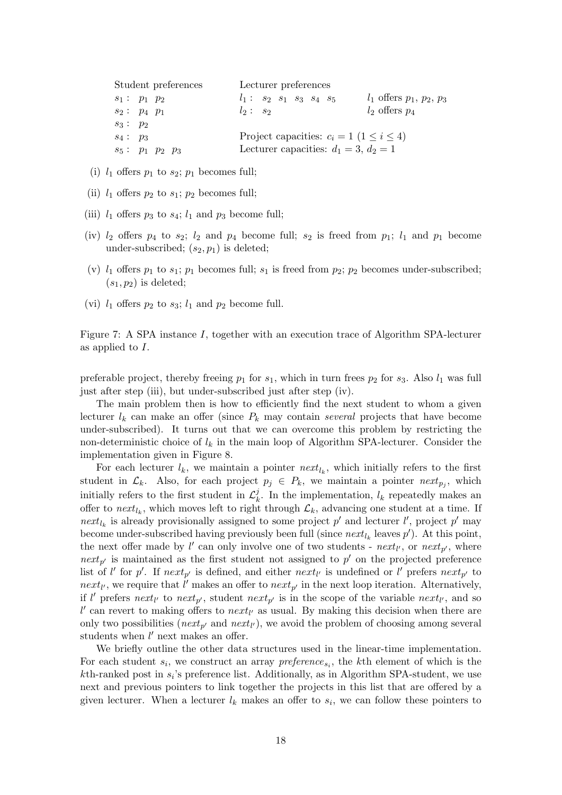| Student preferences | Lecturer preferences                              |                              |
|---------------------|---------------------------------------------------|------------------------------|
| $s_1: p_1 p_2$      | $l_1: s_2 s_1 s_3 s_4 s_5$                        | $l_1$ offers $p_1, p_2, p_3$ |
| $s_2: p_4 p_1$      | $l_2: s_2$                                        | $l_2$ offers $p_4$           |
| $s_3: p_2$          |                                                   |                              |
| $s_4: p_3$          | Project capacities: $c_i = 1 \ (1 \leq i \leq 4)$ |                              |
| $s_5: p_1 p_2 p_3$  | Lecturer capacities: $d_1 = 3, d_2 = 1$           |                              |

- (i)  $l_1$  offers  $p_1$  to  $s_2$ ;  $p_1$  becomes full;
- (ii)  $l_1$  offers  $p_2$  to  $s_1$ ;  $p_2$  becomes full;
- (iii)  $l_1$  offers  $p_3$  to  $s_4$ ;  $l_1$  and  $p_3$  become full;
- (iv)  $l_2$  offers  $p_4$  to  $s_2$ ;  $l_2$  and  $p_4$  become full;  $s_2$  is freed from  $p_1$ ;  $l_1$  and  $p_1$  become under-subscribed;  $(s_2, p_1)$  is deleted;
- (v)  $l_1$  offers  $p_1$  to  $s_1$ ;  $p_1$  becomes full;  $s_1$  is freed from  $p_2$ ;  $p_2$  becomes under-subscribed;  $(s_1, p_2)$  is deleted;
- (vi)  $l_1$  offers  $p_2$  to  $s_3$ ;  $l_1$  and  $p_2$  become full.

Figure 7: A SPA instance I, together with an execution trace of Algorithm SPA-lecturer as applied to I.

preferable project, thereby freeing  $p_1$  for  $s_1$ , which in turn frees  $p_2$  for  $s_3$ . Also  $l_1$  was full just after step (iii), but under-subscribed just after step (iv).

The main problem then is how to efficiently find the next student to whom a given lecturer  $l_k$  can make an offer (since  $P_k$  may contain several projects that have become under-subscribed). It turns out that we can overcome this problem by restricting the non-deterministic choice of  $l_k$  in the main loop of Algorithm SPA-lecturer. Consider the implementation given in Figure 8.

For each lecturer  $l_k$ , we maintain a pointer  $next_{l_k}$ , which initially refers to the first student in  $\mathcal{L}_k$ . Also, for each project  $p_j \in P_k$ , we maintain a pointer  $next_{p_j}$ , which initially refers to the first student in  $\mathcal{L}_k^j$  $\ell_k^j$ . In the implementation,  $l_k$  repeatedly makes an offer to  $next_{l_k}$ , which moves left to right through  $\mathcal{L}_k$ , advancing one student at a time. If next<sub>l<sub>k</sub></sub> is already provisionally assigned to some project p' and lecturer l', project p' may become under-subscribed having previously been full (since  $\textit{next}_{l_k}$  leaves  $p'$ ). At this point, the next offer made by  $l'$  can only involve one of two students - next<sub>l</sub>, or next<sub>p'</sub>, where  $\eta$  is maintained as the first student not assigned to p' on the projected preference list of l' for p'. If  $next_{p'}$  is defined, and either  $next_{l'}$  is undefined or l' prefers  $next_{p'}$  to  $next_{l'}$ , we require that  $l'$  makes an offer to  $next_{p'}$  in the next loop iteration. Alternatively, if l' prefers next<sub>l'</sub> to next<sub>p'</sub>, student next<sub>p'</sub> is in the scope of the variable next<sub>l'</sub>, and so  $l'$  can revert to making offers to  $next_{l'}$  as usual. By making this decision when there are only two possibilities ( $next_{p'}$  and  $next_{l'}$ ), we avoid the problem of choosing among several students when  $l'$  next makes an offer.

We briefly outline the other data structures used in the linear-time implementation. For each student  $s_i$ , we construct an array  $preference_{s_i}$ , the kth element of which is the  $k$ th-ranked post in  $s_i$ 's preference list. Additionally, as in Algorithm SPA-student, we use next and previous pointers to link together the projects in this list that are offered by a given lecturer. When a lecturer  $l_k$  makes an offer to  $s_i$ , we can follow these pointers to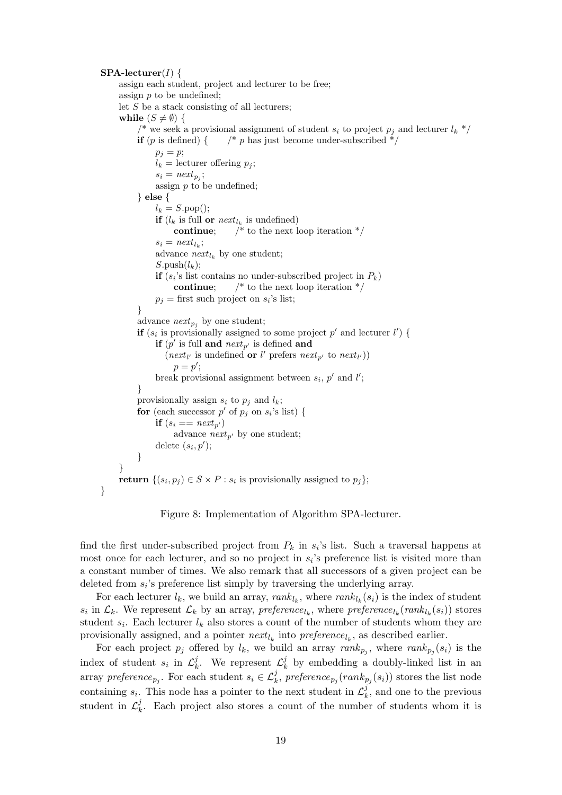$SPA-lecturer(I)$  { assign each student, project and lecturer to be free; assign p to be undefined; let  $S$  be a stack consisting of all lecturers; while  $(S \neq \emptyset)$  { <sup>\*</sup> we seek a provisional assignment of student  $s_i$  to project  $p_i$  and lecturer  $l_k$  \*/ **if** (p is defined) {  $\frac{1}{2}$   $\frac{1}{2}$  p has just become under-subscribed  $\frac{1}{2}$  $p_i = p;$  $l_k =$  lecturer offering  $p_i$ ;  $s_i = \text{next}_{p_j};$ assign  $p$  to be undefined; } else {  $l_k = S.\text{pop}$ ); **if**  $(l_k$  is full **or**  $next_{l_k}$  is undefined) **continue**;  $\frac{1}{2}$  to the next loop iteration  $\frac{1}{2}$  $s_i = \text{next}_{l_k};$ advance  $next_{l_k}$  by one student;  $S.\text{push}(l_k)$ : **if**  $(s_i)$ 's list contains no under-subscribed project in  $P_k$ ) **continue**;  $\frac{1}{2}$  to the next loop iteration  $\frac{1}{2}$  $p_j$  = first such project on  $s_i$ 's list; } advance  $next_{p_j}$  by one student; **if**  $(s_i$  is provisionally assigned to some project p' and lecturer l') { if  $(p'$  is full and  $next_{p'}$  is defined and (next<sub>l'</sub> is undefined or l' prefers next<sub>p'</sub> to next<sub>l'</sub>))  $p = p';$ break provisional assignment between  $s_i$ ,  $p'$  and  $l'$ ; } provisionally assign  $s_i$  to  $p_j$  and  $l_k$ ; for (each successor  $p'$  of  $p_j$  on  $s_i$ 's list) { if  $(s_i == next_{p'})$ advance  $next_{p'}$  by one student; delete  $(s_i, p')$ ; } } return  $\{(s_i, p_j) \in S \times P : s_i \text{ is provisionally assigned to } p_j\};$ 

Figure 8: Implementation of Algorithm SPA-lecturer.

}

find the first under-subscribed project from  $P_k$  in  $s_i$ 's list. Such a traversal happens at most once for each lecturer, and so no project in  $s_i$ 's preference list is visited more than a constant number of times. We also remark that all successors of a given project can be deleted from  $s_i$ 's preference list simply by traversing the underlying array.

For each lecturer  $l_k$ , we build an array,  $rank_{l_k}$ , where  $rank_{l_k}(s_i)$  is the index of student  $s_i$  in  $\mathcal{L}_k$ . We represent  $\mathcal{L}_k$  by an array, preference<sub>l<sub>k</sub></sub>, where preference<sub>l<sub>k</sub></sub>(rank<sub>l<sub>k</sub></sub>(s<sub>i</sub>)) stores student  $s_i$ . Each lecturer  $l_k$  also stores a count of the number of students whom they are provisionally assigned, and a pointer  $next_{l_k}$  into  $preference_{l_k}$ , as described earlier.

For each project  $p_j$  offered by  $l_k$ , we build an array  $rank_{p_j}$ , where  $rank_{p_j}(s_i)$  is the index of student  $s_i$  in  $\mathcal{L}_k^j$  $\mu_k^j$ . We represent  $\mathcal{L}_k^j$  $\frac{d}{k}$  by embedding a doubly-linked list in an array preference<sub>pj</sub>. For each student  $s_i \in \mathcal{L}_k^j$ , preference<sub>pj</sub>  $(rank_{p_j}(s_i))$  stores the list node containing  $s_i$ . This node has a pointer to the next student in  $\mathcal{L}_k^j$  $\mathcal{L}_k^j$ , and one to the previous student in  $\mathcal{L}_k^j$  $\mu_k^j$ . Each project also stores a count of the number of students whom it is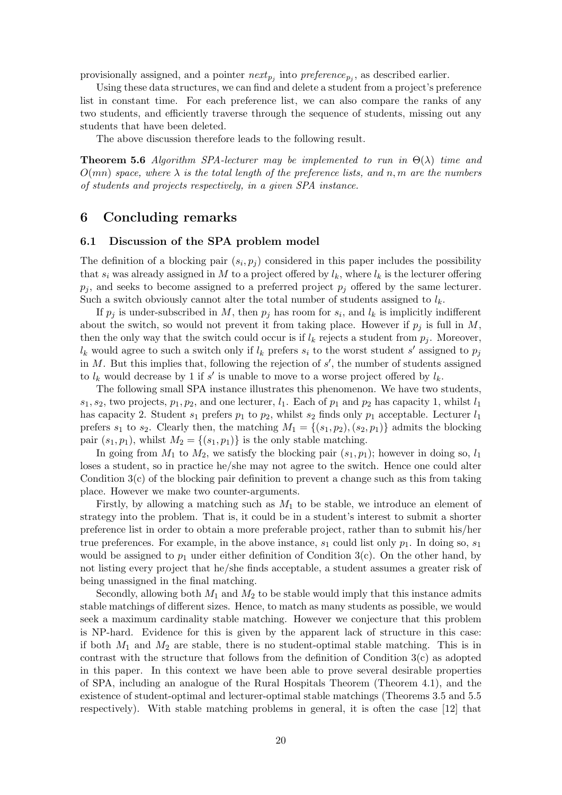provisionally assigned, and a pointer  $next_{p_j}$  into  $preference_{p_j}$ , as described earlier.

Using these data structures, we can find and delete a student from a project's preference list in constant time. For each preference list, we can also compare the ranks of any two students, and efficiently traverse through the sequence of students, missing out any students that have been deleted.

The above discussion therefore leads to the following result.

**Theorem 5.6** Algorithm SPA-lecturer may be implemented to run in  $\Theta(\lambda)$  time and  $O(mn)$  space, where  $\lambda$  is the total length of the preference lists, and n, m are the numbers of students and projects respectively, in a given SPA instance.

### 6 Concluding remarks

#### 6.1 Discussion of the SPA problem model

The definition of a blocking pair  $(s_i, p_j)$  considered in this paper includes the possibility that  $s_i$  was already assigned in M to a project offered by  $l_k$ , where  $l_k$  is the lecturer offering  $p_j$ , and seeks to become assigned to a preferred project  $p_j$  offered by the same lecturer. Such a switch obviously cannot alter the total number of students assigned to  $l_k$ .

If  $p_j$  is under-subscribed in M, then  $p_j$  has room for  $s_i$ , and  $l_k$  is implicitly indifferent about the switch, so would not prevent it from taking place. However if  $p_i$  is full in M, then the only way that the switch could occur is if  $l_k$  rejects a student from  $p_i$ . Moreover,  $l_k$  would agree to such a switch only if  $l_k$  prefers  $s_i$  to the worst student s' assigned to  $p_j$ in  $M$ . But this implies that, following the rejection of  $s'$ , the number of students assigned to  $l_k$  would decrease by 1 if s' is unable to move to a worse project offered by  $l_k$ .

The following small SPA instance illustrates this phenomenon. We have two students,  $s_1, s_2$ , two projects,  $p_1, p_2$ , and one lecturer,  $l_1$ . Each of  $p_1$  and  $p_2$  has capacity 1, whilst  $l_1$ has capacity 2. Student  $s_1$  prefers  $p_1$  to  $p_2$ , whilst  $s_2$  finds only  $p_1$  acceptable. Lecturer  $l_1$ prefers  $s_1$  to  $s_2$ . Clearly then, the matching  $M_1 = \{(s_1, p_2), (s_2, p_1)\}\$  admits the blocking pair  $(s_1, p_1)$ , whilst  $M_2 = \{(s_1, p_1)\}\$ is the only stable matching.

In going from  $M_1$  to  $M_2$ , we satisfy the blocking pair  $(s_1, p_1)$ ; however in doing so,  $l_1$ loses a student, so in practice he/she may not agree to the switch. Hence one could alter Condition 3(c) of the blocking pair definition to prevent a change such as this from taking place. However we make two counter-arguments.

Firstly, by allowing a matching such as  $M_1$  to be stable, we introduce an element of strategy into the problem. That is, it could be in a student's interest to submit a shorter preference list in order to obtain a more preferable project, rather than to submit his/her true preferences. For example, in the above instance,  $s_1$  could list only  $p_1$ . In doing so,  $s_1$ would be assigned to  $p_1$  under either definition of Condition 3(c). On the other hand, by not listing every project that he/she finds acceptable, a student assumes a greater risk of being unassigned in the final matching.

Secondly, allowing both  $M_1$  and  $M_2$  to be stable would imply that this instance admits stable matchings of different sizes. Hence, to match as many students as possible, we would seek a maximum cardinality stable matching. However we conjecture that this problem is NP-hard. Evidence for this is given by the apparent lack of structure in this case: if both  $M_1$  and  $M_2$  are stable, there is no student-optimal stable matching. This is in contrast with the structure that follows from the definition of Condition 3(c) as adopted in this paper. In this context we have been able to prove several desirable properties of SPA, including an analogue of the Rural Hospitals Theorem (Theorem 4.1), and the existence of student-optimal and lecturer-optimal stable matchings (Theorems 3.5 and 5.5 respectively). With stable matching problems in general, it is often the case [12] that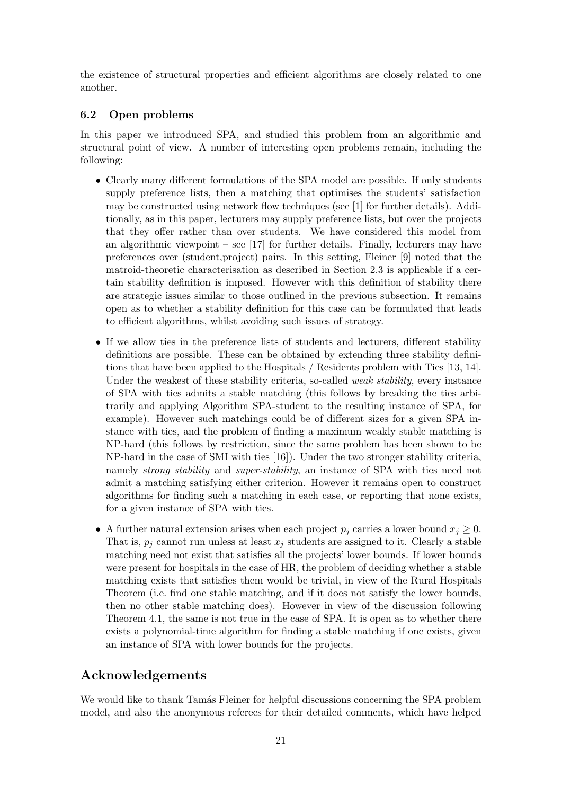the existence of structural properties and efficient algorithms are closely related to one another.

### 6.2 Open problems

In this paper we introduced SPA, and studied this problem from an algorithmic and structural point of view. A number of interesting open problems remain, including the following:

- Clearly many different formulations of the SPA model are possible. If only students supply preference lists, then a matching that optimises the students' satisfaction may be constructed using network flow techniques (see [1] for further details). Additionally, as in this paper, lecturers may supply preference lists, but over the projects that they offer rather than over students. We have considered this model from an algorithmic viewpoint – see  $[17]$  for further details. Finally, lecturers may have preferences over (student,project) pairs. In this setting, Fleiner [9] noted that the matroid-theoretic characterisation as described in Section 2.3 is applicable if a certain stability definition is imposed. However with this definition of stability there are strategic issues similar to those outlined in the previous subsection. It remains open as to whether a stability definition for this case can be formulated that leads to efficient algorithms, whilst avoiding such issues of strategy.
- If we allow ties in the preference lists of students and lecturers, different stability definitions are possible. These can be obtained by extending three stability definitions that have been applied to the Hospitals / Residents problem with Ties [13, 14]. Under the weakest of these stability criteria, so-called *weak stability*, every instance of SPA with ties admits a stable matching (this follows by breaking the ties arbitrarily and applying Algorithm SPA-student to the resulting instance of SPA, for example). However such matchings could be of different sizes for a given SPA instance with ties, and the problem of finding a maximum weakly stable matching is NP-hard (this follows by restriction, since the same problem has been shown to be NP-hard in the case of SMI with ties [16]). Under the two stronger stability criteria, namely *strong stability* and *super-stability*, an instance of SPA with ties need not admit a matching satisfying either criterion. However it remains open to construct algorithms for finding such a matching in each case, or reporting that none exists, for a given instance of SPA with ties.
- A further natural extension arises when each project  $p_j$  carries a lower bound  $x_j \geq 0$ . That is,  $p_i$  cannot run unless at least  $x_j$  students are assigned to it. Clearly a stable matching need not exist that satisfies all the projects' lower bounds. If lower bounds were present for hospitals in the case of HR, the problem of deciding whether a stable matching exists that satisfies them would be trivial, in view of the Rural Hospitals Theorem (i.e. find one stable matching, and if it does not satisfy the lower bounds, then no other stable matching does). However in view of the discussion following Theorem 4.1, the same is not true in the case of SPA. It is open as to whether there exists a polynomial-time algorithm for finding a stable matching if one exists, given an instance of SPA with lower bounds for the projects.

# Acknowledgements

We would like to thank Tamás Fleiner for helpful discussions concerning the SPA problem model, and also the anonymous referees for their detailed comments, which have helped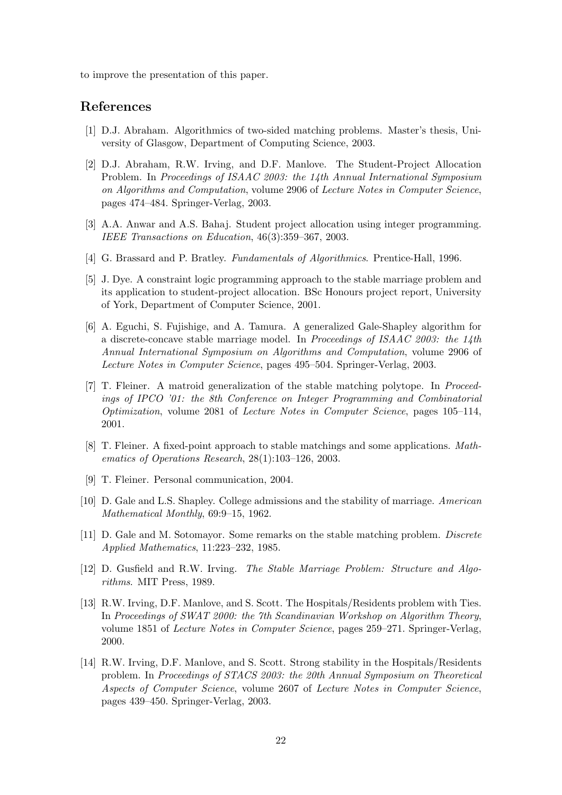to improve the presentation of this paper.

### References

- [1] D.J. Abraham. Algorithmics of two-sided matching problems. Master's thesis, University of Glasgow, Department of Computing Science, 2003.
- [2] D.J. Abraham, R.W. Irving, and D.F. Manlove. The Student-Project Allocation Problem. In Proceedings of ISAAC 2003: the 14th Annual International Symposium on Algorithms and Computation, volume 2906 of Lecture Notes in Computer Science, pages 474–484. Springer-Verlag, 2003.
- [3] A.A. Anwar and A.S. Bahaj. Student project allocation using integer programming. IEEE Transactions on Education, 46(3):359–367, 2003.
- [4] G. Brassard and P. Bratley. Fundamentals of Algorithmics. Prentice-Hall, 1996.
- [5] J. Dye. A constraint logic programming approach to the stable marriage problem and its application to student-project allocation. BSc Honours project report, University of York, Department of Computer Science, 2001.
- [6] A. Eguchi, S. Fujishige, and A. Tamura. A generalized Gale-Shapley algorithm for a discrete-concave stable marriage model. In Proceedings of ISAAC 2003: the 14th Annual International Symposium on Algorithms and Computation, volume 2906 of Lecture Notes in Computer Science, pages 495–504. Springer-Verlag, 2003.
- [7] T. Fleiner. A matroid generalization of the stable matching polytope. In Proceedings of IPCO '01: the 8th Conference on Integer Programming and Combinatorial Optimization, volume 2081 of Lecture Notes in Computer Science, pages 105–114, 2001.
- [8] T. Fleiner. A fixed-point approach to stable matchings and some applications. Mathematics of Operations Research, 28(1):103–126, 2003.
- [9] T. Fleiner. Personal communication, 2004.
- [10] D. Gale and L.S. Shapley. College admissions and the stability of marriage. American Mathematical Monthly, 69:9–15, 1962.
- [11] D. Gale and M. Sotomayor. Some remarks on the stable matching problem. Discrete Applied Mathematics, 11:223–232, 1985.
- [12] D. Gusfield and R.W. Irving. The Stable Marriage Problem: Structure and Algorithms. MIT Press, 1989.
- [13] R.W. Irving, D.F. Manlove, and S. Scott. The Hospitals/Residents problem with Ties. In Proceedings of SWAT 2000: the 7th Scandinavian Workshop on Algorithm Theory, volume 1851 of Lecture Notes in Computer Science, pages 259–271. Springer-Verlag, 2000.
- [14] R.W. Irving, D.F. Manlove, and S. Scott. Strong stability in the Hospitals/Residents problem. In Proceedings of STACS 2003: the 20th Annual Symposium on Theoretical Aspects of Computer Science, volume 2607 of Lecture Notes in Computer Science, pages 439–450. Springer-Verlag, 2003.